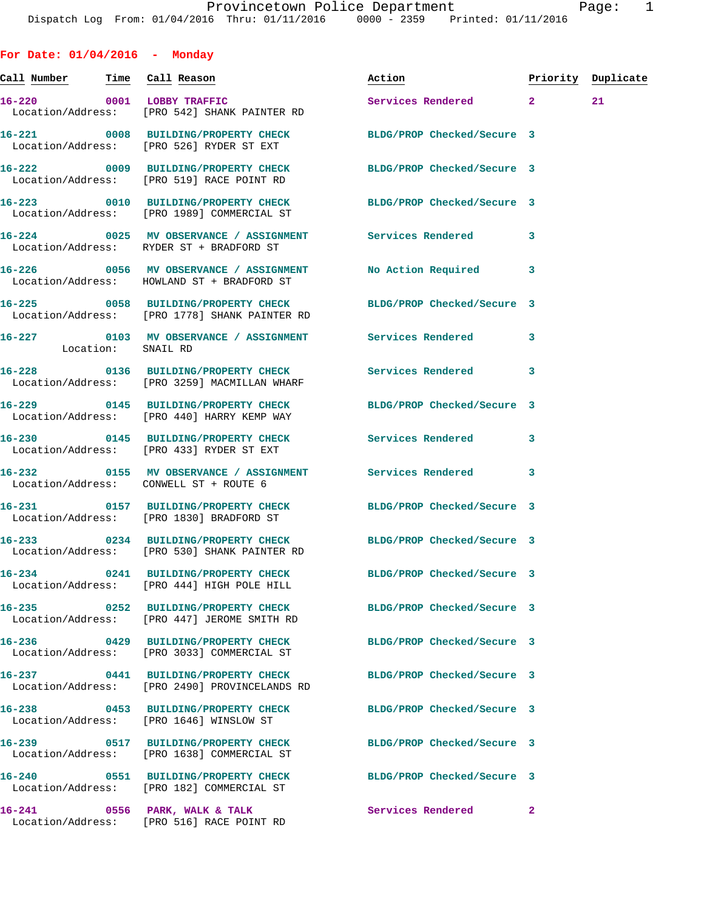**For Date: 01/04/2016 - Monday Call Number Time Call Reason Action Priority Duplicate 16-220 0001 LOBBY TRAFFIC Services Rendered 2 21**  Location/Address: [PRO 542] SHANK PAINTER RD **16-221 0008 BUILDING/PROPERTY CHECK BLDG/PROP Checked/Secure 3**  Location/Address: [PRO 526] RYDER ST EXT **16-222 0009 BUILDING/PROPERTY CHECK BLDG/PROP Checked/Secure 3**  Location/Address: [PRO 519] RACE POINT RD **16-223 0010 BUILDING/PROPERTY CHECK BLDG/PROP Checked/Secure 3**  Location/Address: [PRO 1989] COMMERCIAL ST **16-224 0025 MV OBSERVANCE / ASSIGNMENT Services Rendered 3**  Location/Address: RYDER ST + BRADFORD ST **16-226 0056 MV OBSERVANCE / ASSIGNMENT No Action Required 3**  Location/Address: HOWLAND ST + BRADFORD ST **16-225 0058 BUILDING/PROPERTY CHECK BLDG/PROP Checked/Secure 3**  Location/Address: [PRO 1778] SHANK PAINTER RD **16-227 0103 MV OBSERVANCE / ASSIGNMENT Services Rendered 3**  Location: SNAIL RD **16-228 0136 BUILDING/PROPERTY CHECK Services Rendered 3**  Location/Address: [PRO 3259] MACMILLAN WHARF **16-229 0145 BUILDING/PROPERTY CHECK BLDG/PROP Checked/Secure 3**  Location/Address: [PRO 440] HARRY KEMP WAY **16-230 0145 BUILDING/PROPERTY CHECK Services Rendered 3**  Location/Address: [PRO 433] RYDER ST EXT **16-232 0155 MV OBSERVANCE / ASSIGNMENT Services Rendered 3**  Location/Address: CONWELL ST + ROUTE 6 **16-231 0157 BUILDING/PROPERTY CHECK BLDG/PROP Checked/Secure 3**  Location/Address: [PRO 1830] BRADFORD ST **16-233 0234 BUILDING/PROPERTY CHECK BLDG/PROP Checked/Secure 3**  Location/Address: [PRO 530] SHANK PAINTER RD **16-234 0241 BUILDING/PROPERTY CHECK BLDG/PROP Checked/Secure 3**  Location/Address: [PRO 444] HIGH POLE HILL **16-235 0252 BUILDING/PROPERTY CHECK BLDG/PROP Checked/Secure 3**  Location/Address: [PRO 447] JEROME SMITH RD **16-236 0429 BUILDING/PROPERTY CHECK BLDG/PROP Checked/Secure 3**  Location/Address: [PRO 3033] COMMERCIAL ST **16-237 0441 BUILDING/PROPERTY CHECK BLDG/PROP Checked/Secure 3**  Location/Address: [PRO 2490] PROVINCELANDS RD **16-238 0453 BUILDING/PROPERTY CHECK BLDG/PROP Checked/Secure 3**  Location/Address: [PRO 1646] WINSLOW ST **16-239 0517 BUILDING/PROPERTY CHECK BLDG/PROP Checked/Secure 3**  Location/Address: [PRO 1638] COMMERCIAL ST **16-240 0551 BUILDING/PROPERTY CHECK BLDG/PROP Checked/Secure 3**  [PRO 182] COMMERCIAL ST

**16-241 0556 PARK, WALK & TALK Services Rendered 2**  Location/Address: [PRO 516] RACE POINT RD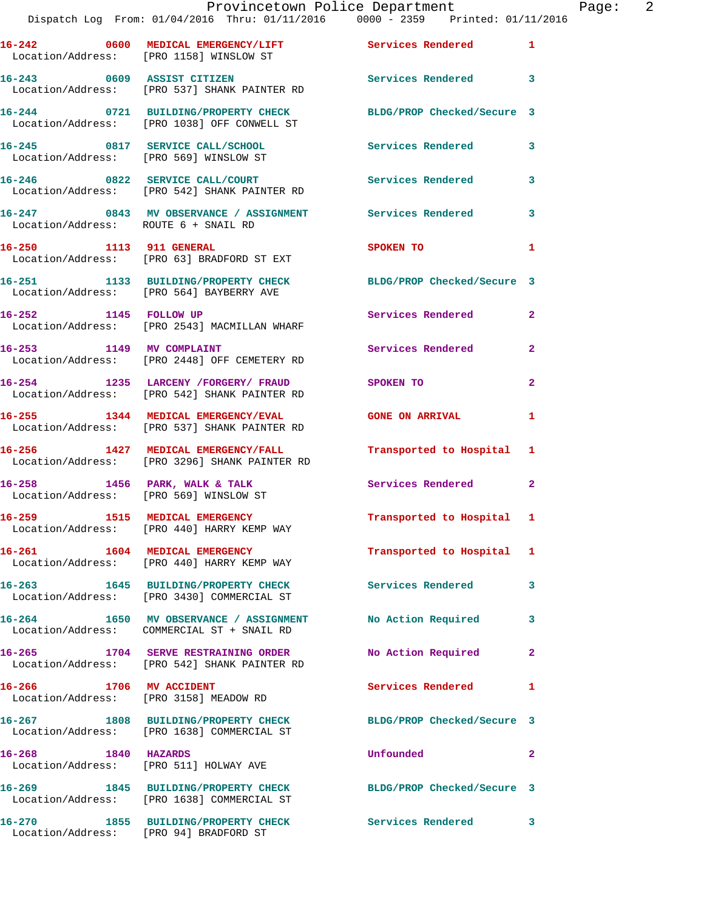## Provincetown Police Department Page: 2 Dispatch Log From: 01/04/2016 Thru: 01/11/2016 0000 - 2359 Printed: 01/11/2016

|                                                                   | Location/Address: [PRO 1158] WINSLOW ST                                               | Services Rendered          | 1              |
|-------------------------------------------------------------------|---------------------------------------------------------------------------------------|----------------------------|----------------|
|                                                                   | 16-243 0609 ASSIST CITIZEN<br>Location/Address: [PRO 537] SHANK PAINTER RD            | Services Rendered          | 3              |
|                                                                   | 16-244 0721 BUILDING/PROPERTY CHECK<br>Location/Address: [PRO 1038] OFF CONWELL ST    | BLDG/PROP Checked/Secure 3 |                |
|                                                                   | 16-245 0817 SERVICE CALL/SCHOOL<br>Location/Address: [PRO 569] WINSLOW ST             | Services Rendered          | 3              |
|                                                                   | 16-246 0822 SERVICE CALL/COURT<br>Location/Address: [PRO 542] SHANK PAINTER RD        | Services Rendered          | 3              |
| Location/Address: ROUTE 6 + SNAIL RD                              | 16-247 6843 MV OBSERVANCE / ASSIGNMENT Services Rendered                              |                            | 3              |
| 16-250 1113 911 GENERAL                                           | Location/Address: [PRO 63] BRADFORD ST EXT                                            | SPOKEN TO                  | 1              |
|                                                                   | 16-251 1133 BUILDING/PROPERTY CHECK<br>Location/Address: [PRO 564] BAYBERRY AVE       | BLDG/PROP Checked/Secure 3 |                |
| 16-252 1145 FOLLOW UP                                             | Location/Address: [PRO 2543] MACMILLAN WHARF                                          | Services Rendered          | $\mathbf{2}$   |
| 16-253 1149 MV COMPLAINT                                          | Location/Address: [PRO 2448] OFF CEMETERY RD                                          | Services Rendered          | $\mathbf{2}$   |
|                                                                   | 16-254 1235 LARCENY / FORGERY / FRAUD<br>Location/Address: [PRO 542] SHANK PAINTER RD | SPOKEN TO                  | $\overline{a}$ |
|                                                                   | 16-255 1344 MEDICAL EMERGENCY/EVAL<br>Location/Address: [PRO 537] SHANK PAINTER RD    | <b>GONE ON ARRIVAL</b>     | 1              |
|                                                                   | 16-256 1427 MEDICAL EMERGENCY/FALL<br>Location/Address: [PRO 3296] SHANK PAINTER RD   | Transported to Hospital    | 1              |
| Location/Address: [PRO 569] WINSLOW ST                            | 16-258 1456 PARK, WALK & TALK                                                         | Services Rendered          | 2              |
|                                                                   | 16-259 1515 MEDICAL EMERGENCY<br>Location/Address: [PRO 440] HARRY KEMP WAY           | Transported to Hospital    | 1              |
| 16-261 1604 MEDICAL EMERGENCY                                     | Location/Address: [PRO 440] HARRY KEMP WAY                                            | Transported to Hospital    | 1              |
| 16-263                                                            | 1645 BUILDING/PROPERTY CHECK<br>Location/Address: [PRO 3430] COMMERCIAL ST            | Services Rendered          | 3              |
|                                                                   | 16-264 1650 MV OBSERVANCE / ASSIGNMENT<br>Location/Address: COMMERCIAL ST + SNAIL RD  | No Action Required         | з              |
|                                                                   | 16-265 1704 SERVE RESTRAINING ORDER<br>Location/Address: [PRO 542] SHANK PAINTER RD   | No Action Required         | 2              |
| 16-266 1706 MV ACCIDENT<br>Location/Address: [PRO 3158] MEADOW RD |                                                                                       | <b>Services Rendered</b>   | 1              |
|                                                                   | 16-267 1808 BUILDING/PROPERTY CHECK<br>Location/Address: [PRO 1638] COMMERCIAL ST     | BLDG/PROP Checked/Secure 3 |                |
| 16-268 1840 HAZARDS<br>Location/Address: [PRO 511] HOLWAY AVE     |                                                                                       | Unfounded                  | 2              |
| 16-269                                                            | 1845 BUILDING/PROPERTY CHECK<br>Location/Address: [PRO 1638] COMMERCIAL ST            | BLDG/PROP Checked/Secure 3 |                |
|                                                                   | 16-270 1855 BUILDING/PROPERTY CHECK<br>Location/Address: [PRO 94] BRADFORD ST         | Services Rendered          | 3              |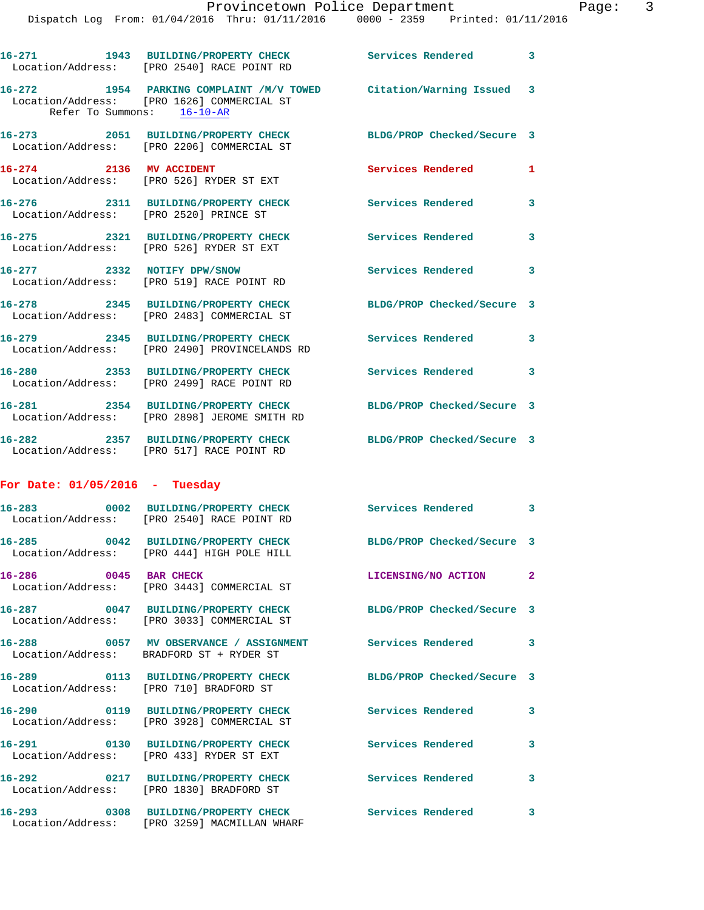|                                                   | 16-271 1943 BUILDING/PROPERTY CHECK<br>Location/Address: [PRO 2540] RACE POINT RD                                | Services Rendered 3           |              |
|---------------------------------------------------|------------------------------------------------------------------------------------------------------------------|-------------------------------|--------------|
| Refer To Summons: 16-10-AR                        | 16-272 1954 PARKING COMPLAINT /M/V TOWED Citation/Warning Issued 3<br>Location/Address: [PRO 1626] COMMERCIAL ST |                               |              |
|                                                   | 16-273 2051 BUILDING/PROPERTY CHECK<br>Location/Address: [PRO 2206] COMMERCIAL ST                                | BLDG/PROP Checked/Secure 3    |              |
| 16-274 2136 MV ACCIDENT                           | Location/Address: [PRO 526] RYDER ST EXT                                                                         | Services Rendered             | 1            |
| Location/Address: [PRO 2520] PRINCE ST            | 16-276 2311 BUILDING/PROPERTY CHECK                                                                              | <b>Services Rendered</b>      | 3            |
|                                                   | 16-275 2321 BUILDING/PROPERTY CHECK<br>Location/Address: [PRO 526] RYDER ST EXT                                  | Services Rendered             | 3            |
| 16-277 2332 NOTIFY DPW/SNOW                       | Location/Address: [PRO 519] RACE POINT RD                                                                        | Services Rendered 3           |              |
|                                                   | 16-278 2345 BUILDING/PROPERTY CHECK<br>Location/Address: [PRO 2483] COMMERCIAL ST                                | BLDG/PROP Checked/Secure 3    |              |
| 16-279                                            | 2345 BUILDING/PROPERTY CHECK<br>Location/Address: [PRO 2490] PROVINCELANDS RD                                    | Services Rendered 3           |              |
|                                                   | 16-280 2353 BUILDING/PROPERTY CHECK<br>Location/Address: [PRO 2499] RACE POINT RD                                | Services Rendered             | 3            |
|                                                   | 16-281 2354 BUILDING/PROPERTY CHECK<br>Location/Address: [PRO 2898] JEROME SMITH RD                              | BLDG/PROP Checked/Secure 3    |              |
|                                                   | 16-282 2357 BUILDING/PROPERTY CHECK<br>Location/Address: [PRO 517] RACE POINT RD                                 | BLDG/PROP Checked/Secure 3    |              |
| For Date: $01/05/2016$ - Tuesday                  |                                                                                                                  |                               |              |
|                                                   | 16-283 0002 BUILDING/PROPERTY CHECK<br>Location/Address: [PRO 2540] RACE POINT RD                                | Services Rendered 3           |              |
|                                                   | 16-285 0042 BUILDING/PROPERTY CHECK<br>Location/Address: [PRO 444] HIGH POLE HILL                                | BLDG/PROP Checked/Secure 3    |              |
| 16-286 0045 BAR CHECK                             | Location/Address: [PRO 3443] COMMERCIAL ST                                                                       | LICENSING/NO ACTION           | $\mathbf{2}$ |
|                                                   | 16-287 0047 BUILDING/PROPERTY CHECK<br>Location/Address: [PRO 3033] COMMERCIAL ST                                | BLDG/PROP Checked/Secure 3    |              |
|                                                   | 16-288 0057 MV OBSERVANCE / ASSIGNMENT<br>Location/Address: BRADFORD ST + RYDER ST                               | Services Rendered             | 3            |
| 16-289<br>Location/Address: [PRO 710] BRADFORD ST | 0113 BUILDING/PROPERTY CHECK                                                                                     | BLDG/PROP Checked/Secure 3    |              |
|                                                   | 16-290 0119 BUILDING/PROPERTY CHECK<br>Location/Address: [PRO 3928] COMMERCIAL ST                                | <b>Services Rendered</b>      | 3            |
| 16-291                                            | 0130 BUILDING/PROPERTY CHECK<br>Location/Address: [PRO 433] RYDER ST EXT                                         | <b>Services Rendered</b>      | 3            |
|                                                   | 16-292 0217 BUILDING/PROPERTY CHECK<br>Location/Address: [PRO 1830] BRADFORD ST                                  | <b>Services Rendered</b>      | 3            |
| 16-293                                            | 0308 BUILDING/PROPERTY CHECK                                                                                     | Services Rendered<br>$\sim$ 3 |              |

Location/Address: [PRO 3259] MACMILLAN WHARF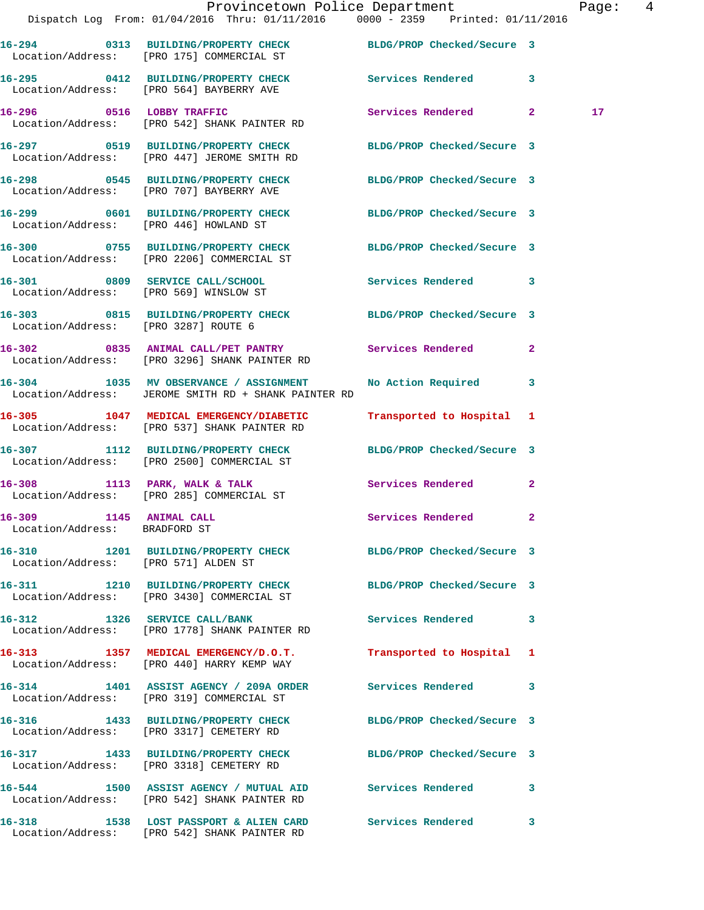|                                                          | Provincetown Police Department<br>Dispatch Log From: 01/04/2016 Thru: 01/11/2016 0000 - 2359 Printed: 01/11/2016 |                            |              | Page: 4         |  |
|----------------------------------------------------------|------------------------------------------------------------------------------------------------------------------|----------------------------|--------------|-----------------|--|
|                                                          | 16-294 0313 BUILDING/PROPERTY CHECK BLDG/PROP Checked/Secure 3<br>Location/Address: [PRO 175] COMMERCIAL ST      |                            |              |                 |  |
|                                                          | 16-295 0412 BUILDING/PROPERTY CHECK Services Rendered 3<br>Location/Address: [PRO 564] BAYBERRY AVE              |                            |              |                 |  |
|                                                          | 16-296 0516 LOBBY TRAFFIC<br>Location/Address: [PRO 542] SHANK PAINTER RD                                        | Services Rendered 2        |              | 17 <sub>2</sub> |  |
|                                                          | 16-297 0519 BUILDING/PROPERTY CHECK BLDG/PROP Checked/Secure 3<br>Location/Address: [PRO 447] JEROME SMITH RD    |                            |              |                 |  |
|                                                          | 16-298 0545 BUILDING/PROPERTY CHECK BLDG/PROP Checked/Secure 3<br>Location/Address: [PRO 707] BAYBERRY AVE       |                            |              |                 |  |
|                                                          | 16-299 0601 BUILDING/PROPERTY CHECK BLDG/PROP Checked/Secure 3<br>Location/Address: [PRO 446] HOWLAND ST         |                            |              |                 |  |
|                                                          | 16-300 0755 BUILDING/PROPERTY CHECK BLDG/PROP Checked/Secure 3<br>Location/Address: [PRO 2206] COMMERCIAL ST     |                            |              |                 |  |
|                                                          | 16-301 0809 SERVICE CALL/SCHOOL<br>Location/Address: [PRO 569] WINSLOW ST                                        | Services Rendered 3        |              |                 |  |
| Location/Address: [PRO 3287] ROUTE 6                     | 16-303 0815 BUILDING/PROPERTY CHECK BLDG/PROP Checked/Secure 3                                                   |                            |              |                 |  |
|                                                          | 16-302 0835 ANIMAL CALL/PET PANTRY Services Rendered<br>Location/Address: [PRO 3296] SHANK PAINTER RD            |                            | $\mathbf{2}$ |                 |  |
|                                                          | 16-304 1035 MV OBSERVANCE / ASSIGNMENT<br>Location/Address: JEROME SMITH RD + SHANK PAINTER RD                   | No Action Required 3       |              |                 |  |
|                                                          | 16-305 1047 MEDICAL EMERGENCY/DIABETIC<br>Location/Address: [PRO 537] SHANK PAINTER RD                           | Transported to Hospital 1  |              |                 |  |
|                                                          | 16-307 1112 BUILDING/PROPERTY CHECK BLDG/PROP Checked/Secure 3<br>Location/Address: [PRO 2500] COMMERCIAL ST     |                            |              |                 |  |
|                                                          | 16-308 1113 PARK, WALK & TALK 6 Services Rendered 2<br>Location/Address: [PRO 285] COMMERCIAL ST                 |                            |              |                 |  |
| 16-309 1145 ANIMAL CALL<br>Location/Address: BRADFORD ST |                                                                                                                  | Services Rendered 2        |              |                 |  |
| Location/Address: [PRO 571] ALDEN ST                     | 16-310 1201 BUILDING/PROPERTY CHECK BLDG/PROP Checked/Secure 3                                                   |                            |              |                 |  |
|                                                          | 16-311 1210 BUILDING/PROPERTY CHECK BLDG/PROP Checked/Secure 3<br>Location/Address: [PRO 3430] COMMERCIAL ST     |                            |              |                 |  |
|                                                          | 16-312 1326 SERVICE CALL/BANK<br>Location/Address: [PRO 1778] SHANK PAINTER RD                                   | Services Rendered 3        |              |                 |  |
|                                                          | 16-313 1357 MEDICAL EMERGENCY/D.O.T.<br>Location/Address: [PRO 440] HARRY KEMP WAY                               | Transported to Hospital 1  |              |                 |  |
|                                                          | 16-314 1401 ASSIST AGENCY / 209A ORDER Services Rendered 3<br>Location/Address: [PRO 319] COMMERCIAL ST          |                            |              |                 |  |
|                                                          | 16-316 1433 BUILDING/PROPERTY CHECK<br>Location/Address: [PRO 3317] CEMETERY RD                                  | BLDG/PROP Checked/Secure 3 |              |                 |  |
|                                                          | 16-317 1433 BUILDING/PROPERTY CHECK BLDG/PROP Checked/Secure 3<br>Location/Address: [PRO 3318] CEMETERY RD       |                            |              |                 |  |
|                                                          | 16-544 1500 ASSIST AGENCY / MUTUAL AID Services Rendered 3<br>Location/Address: [PRO 542] SHANK PAINTER RD       |                            |              |                 |  |
|                                                          | 16-318 1538 LOST PASSPORT & ALIEN CARD Services Rendered                                                         |                            | $\mathbf{3}$ |                 |  |

Location/Address: [PRO 542] SHANK PAINTER RD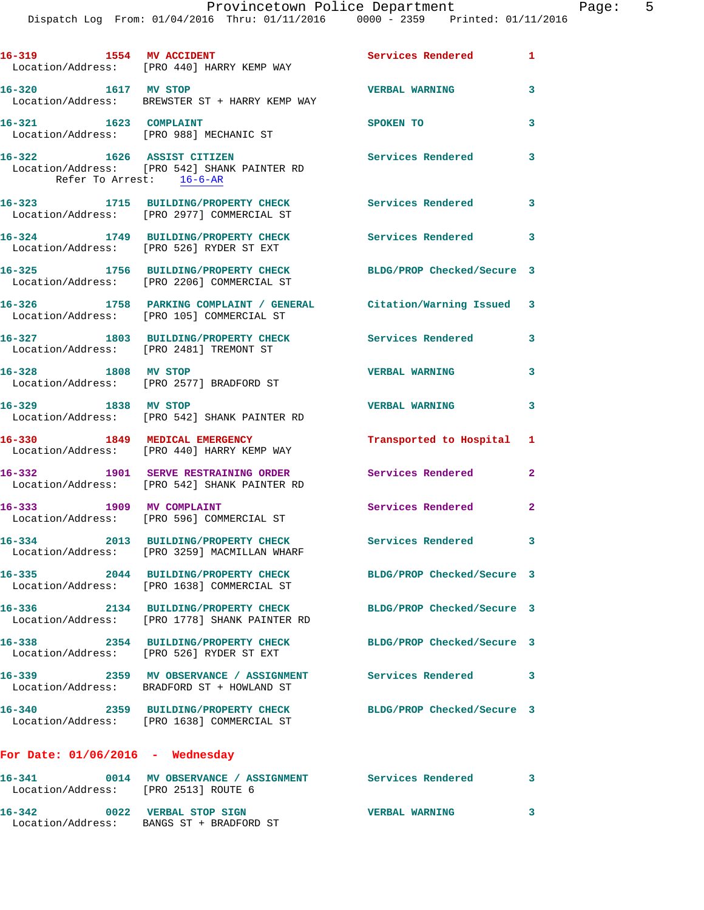| 16-319 1554 MV ACCIDENT<br>Location/Address: [PRO 440] HARRY KEMP WAY               |                              | <b>Services Rendered</b> 1                                        |                            |
|-------------------------------------------------------------------------------------|------------------------------|-------------------------------------------------------------------|----------------------------|
| 16-320 1617 MV STOP<br>Location/Address: BREWSTER ST + HARRY KEMP WAY               |                              | <b>VERBAL WARNING</b>                                             | 3                          |
| $16 - 321$<br>Location/Address: [PRO 988] MECHANIC ST                               | 1623 COMPLAINT               | SPOKEN TO                                                         | 3                          |
| 16-322 1626 ASSIST CITIZEN<br>Location/Address: [PRO 542] SHANK PAINTER RD          | Refer To Arrest: 16-6-AR     | <b>Services Rendered</b>                                          | 3                          |
| 16-323 1715 BUILDING/PROPERTY CHECK<br>Location/Address: [PRO 2977] COMMERCIAL ST   |                              | <b>Services Rendered</b>                                          | $\overline{\phantom{a}}$ 3 |
| 16-324 1749 BUILDING/PROPERTY CHECK<br>Location/Address: [PRO 526] RYDER ST EXT     |                              | <b>Services Rendered</b>                                          | $\overline{\phantom{a}}$   |
| 16-325 1756 BUILDING/PROPERTY CHECK<br>Location/Address: [PRO 2206] COMMERCIAL ST   |                              | BLDG/PROP Checked/Secure 3                                        |                            |
| Location/Address: [PRO 105] COMMERCIAL ST                                           |                              | 16-326 1758 PARKING COMPLAINT / GENERAL Citation/Warning Issued 3 |                            |
| 16-327 1803 BUILDING/PROPERTY CHECK<br>Location/Address: [PRO 2481] TREMONT ST      |                              | Services Rendered                                                 | 3                          |
| 1808 MV STOP<br>$16 - 328$<br>Location/Address: [PRO 2577] BRADFORD ST              |                              | <b>VERBAL WARNING</b>                                             | 3                          |
| 16-329 1838 MV STOP<br>Location/Address: [PRO 542] SHANK PAINTER RD                 |                              | <b>VERBAL WARNING</b>                                             | 3                          |
| 16-330 1849 MEDICAL EMERGENCY<br>Location/Address: [PRO 440] HARRY KEMP WAY         |                              | Transported to Hospital 1                                         |                            |
| 16-332 1901 SERVE RESTRAINING ORDER<br>Location/Address: [PRO 542] SHANK PAINTER RD |                              | Services Rendered                                                 | $\mathbf{2}$               |
| 16-333 1909 MV COMPLAINT<br>Location/Address: [PRO 596] COMMERCIAL ST               |                              | Services Rendered                                                 | $\mathbf{2}$               |
| $16 - 334$<br>Location/Address: [PRO 3259] MACMILLAN WHARF                          | 2013 BUILDING/PROPERTY CHECK | <b>Services Rendered</b>                                          | 3                          |
| $16 - 335$<br>Location/Address: [PRO 1638] COMMERCIAL ST                            | 2044 BUILDING/PROPERTY CHECK | BLDG/PROP Checked/Secure 3                                        |                            |
| Location/Address: [PRO 1778] SHANK PAINTER RD                                       |                              | 16-336 2134 BUILDING/PROPERTY CHECK BLDG/PROP Checked/Secure 3    |                            |
| 16-338 2354 BUILDING/PROPERTY CHECK<br>Location/Address: [PRO 526] RYDER ST EXT     |                              | BLDG/PROP Checked/Secure 3                                        |                            |
| Location/Address: BRADFORD ST + HOWLAND ST                                          |                              | 16-339 2359 MV OBSERVANCE / ASSIGNMENT Services Rendered          | 3                          |
| $16 - 340$<br>Location/Address: [PRO 1638] COMMERCIAL ST                            |                              | 2359 BUILDING/PROPERTY CHECK BLDG/PROP Checked/Secure 3           |                            |
| For Date: $01/06/2016$ - Wednesday                                                  |                              |                                                                   |                            |
| $16 - 341$<br>Location/Address: [PRO 2513] ROUTE 6                                  |                              | 0014 MV OBSERVANCE / ASSIGNMENT Services Rendered                 | 3                          |
| 16-342 0022 VERBAL STOP SIGN<br>Location/Address: BANGS ST + BRADFORD ST            |                              | <b>VERBAL WARNING</b>                                             | 3                          |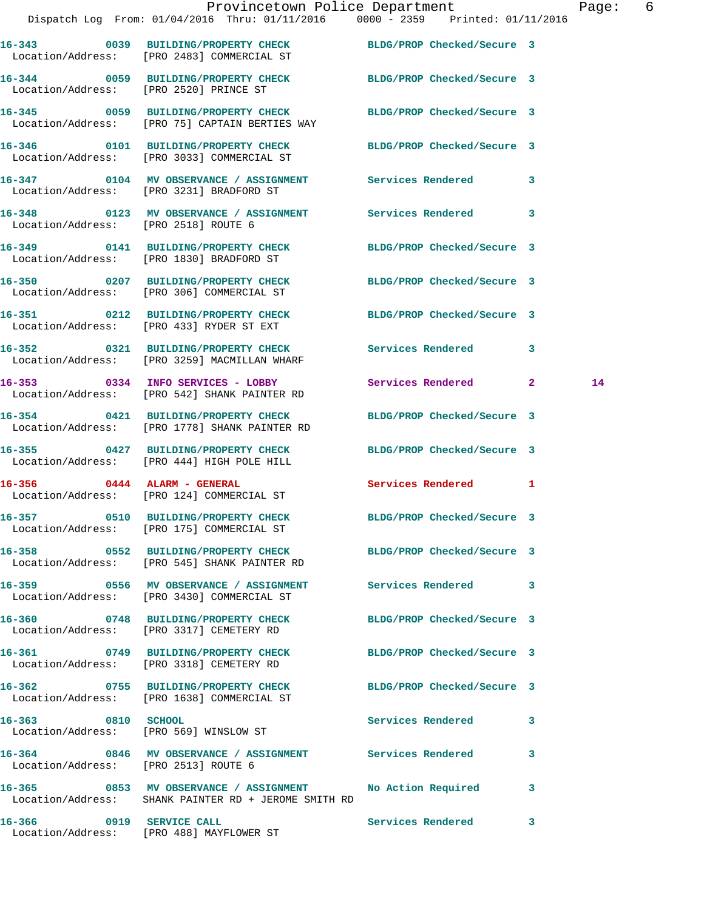|                                      | Provincetown Police Department Page: 6<br>Dispatch Log From: 01/04/2016 Thru: 01/11/2016 0000 - 2359 Printed: 01/11/2016 |                            |   |    |  |
|--------------------------------------|--------------------------------------------------------------------------------------------------------------------------|----------------------------|---|----|--|
|                                      | 16-343 0039 BUILDING/PROPERTY CHECK BLDG/PROP Checked/Secure 3<br>Location/Address: [PRO 2483] COMMERCIAL ST             |                            |   |    |  |
|                                      | 16-344 0059 BUILDING/PROPERTY CHECK BLDG/PROP Checked/Secure 3<br>Location/Address: [PRO 2520] PRINCE ST                 |                            |   |    |  |
|                                      | 16-345 0059 BUILDING/PROPERTY CHECK BLDG/PROP Checked/Secure 3<br>Location/Address: [PRO 75] CAPTAIN BERTIES WAY         |                            |   |    |  |
|                                      | 16-346 0101 BUILDING/PROPERTY CHECK BLDG/PROP Checked/Secure 3<br>Location/Address: [PRO 3033] COMMERCIAL ST             |                            |   |    |  |
|                                      | 16-347 0104 MV OBSERVANCE / ASSIGNMENT Services Rendered 3<br>Location/Address: [PRO 3231] BRADFORD ST                   |                            |   |    |  |
| Location/Address: [PRO 2518] ROUTE 6 | 16-348 0123 MV OBSERVANCE / ASSIGNMENT Services Rendered 3                                                               |                            |   |    |  |
|                                      | 16-349 0141 BUILDING/PROPERTY CHECK BLDG/PROP Checked/Secure 3<br>Location/Address: [PRO 1830] BRADFORD ST               |                            |   |    |  |
|                                      | 16-350 0207 BUILDING/PROPERTY CHECK BLDG/PROP Checked/Secure 3<br>Location/Address: [PRO 306] COMMERCIAL ST              |                            |   |    |  |
|                                      | 16-351 0212 BUILDING/PROPERTY CHECK BLDG/PROP Checked/Secure 3<br>Location/Address: [PRO 433] RYDER ST EXT               |                            |   |    |  |
|                                      | 16-352 0321 BUILDING/PROPERTY CHECK Services Rendered 3<br>Location/Address: [PRO 3259] MACMILLAN WHARF                  |                            |   |    |  |
|                                      | 16-353 0334 INFO SERVICES - LOBBY<br>Location/Address: [PRO 542] SHANK PAINTER RD                                        | Services Rendered 2        |   | 14 |  |
|                                      | 16-354 0421 BUILDING/PROPERTY CHECK<br>Location/Address: [PRO 1778] SHANK PAINTER RD                                     | BLDG/PROP Checked/Secure 3 |   |    |  |
|                                      | 16-355 0427 BUILDING/PROPERTY CHECK BLDG/PROP Checked/Secure 3<br>Location/Address: [PRO 444] HIGH POLE HILL             |                            |   |    |  |
|                                      | $16-356$ 0444 ALARM - GENERAL<br>Location/Address: [PRO 124] COMMERCIAL ST                                               | Services Rendered 1        |   |    |  |
|                                      | 16-357 0510 BUILDING/PROPERTY CHECK<br>Location/Address: [PRO 175] COMMERCIAL ST                                         | BLDG/PROP Checked/Secure 3 |   |    |  |
|                                      | 16-358 0552 BUILDING/PROPERTY CHECK BLDG/PROP Checked/Secure 3<br>Location/Address: [PRO 545] SHANK PAINTER RD           |                            |   |    |  |
|                                      | 16-359 0556 MV OBSERVANCE / ASSIGNMENT Services Rendered 3<br>Location/Address: [PRO 3430] COMMERCIAL ST                 |                            |   |    |  |
|                                      | 16-360 0748 BUILDING/PROPERTY CHECK BLDG/PROP Checked/Secure 3<br>Location/Address: [PRO 3317] CEMETERY RD               |                            |   |    |  |
|                                      | 16-361 0749 BUILDING/PROPERTY CHECK BLDG/PROP Checked/Secure 3<br>Location/Address: [PRO 3318] CEMETERY RD               |                            |   |    |  |
|                                      | 16-362 0755 BUILDING/PROPERTY CHECK BLDG/PROP Checked/Secure 3<br>Location/Address: [PRO 1638] COMMERCIAL ST             |                            |   |    |  |
| 16-363 0810 SCHOOL                   | Location/Address: [PRO 569] WINSLOW ST                                                                                   | Services Rendered 3        |   |    |  |
| Location/Address: [PRO 2513] ROUTE 6 | 16-364 6846 MV OBSERVANCE / ASSIGNMENT Services Rendered                                                                 |                            | 3 |    |  |
|                                      | 16-365 6853 MV OBSERVANCE / ASSIGNMENT No Action Required 3<br>Location/Address: SHANK PAINTER RD + JEROME SMITH RD      |                            |   |    |  |
|                                      |                                                                                                                          | Services Rendered 3        |   |    |  |

Location/Address: [PRO 488] MAYFLOWER ST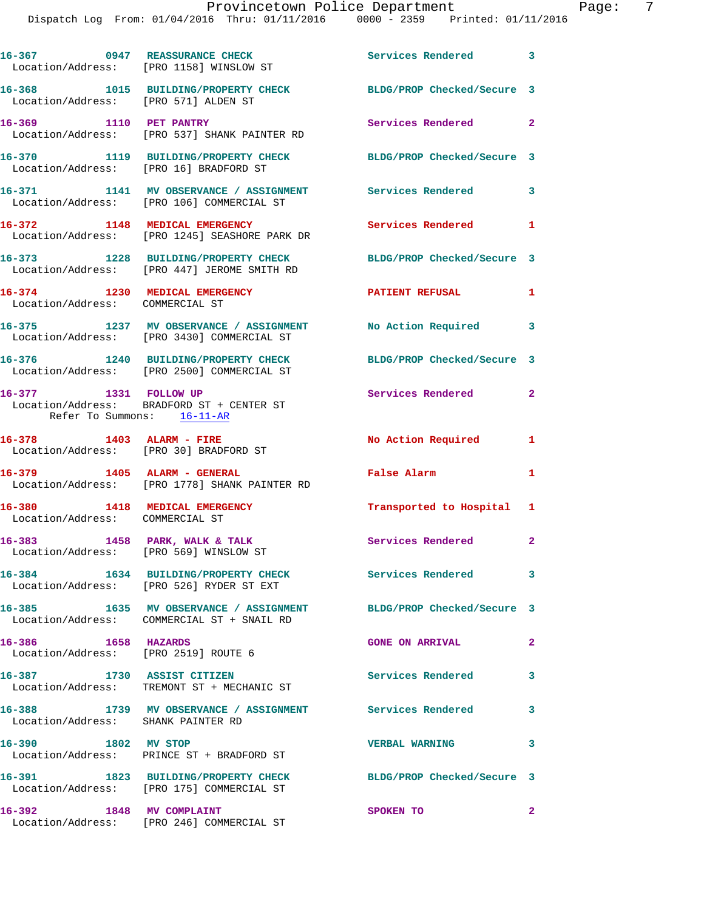|                                                                                                                                                                                                                                                                                                     | 16-367 0947 REASSURANCE CHECK<br>Location/Address: [PRO 1158] WINSLOW ST             | Services Rendered 3        |              |
|-----------------------------------------------------------------------------------------------------------------------------------------------------------------------------------------------------------------------------------------------------------------------------------------------------|--------------------------------------------------------------------------------------|----------------------------|--------------|
| Location/Address: [PRO 571] ALDEN ST                                                                                                                                                                                                                                                                | 16-368 1015 BUILDING/PROPERTY CHECK                                                  | BLDG/PROP Checked/Secure 3 |              |
| 16-369 1110 PET PANTRY                                                                                                                                                                                                                                                                              | Location/Address: [PRO 537] SHANK PAINTER RD                                         | Services Rendered 2        |              |
| Location/Address: [PRO 16] BRADFORD ST                                                                                                                                                                                                                                                              | 16-370 1119 BUILDING/PROPERTY CHECK                                                  | BLDG/PROP Checked/Secure 3 |              |
|                                                                                                                                                                                                                                                                                                     | 16-371 1141 MV OBSERVANCE / ASSIGNMENT<br>Location/Address: [PRO 106] COMMERCIAL ST  | Services Rendered          | $\mathbf{3}$ |
| 16-372 1148 MEDICAL EMERGENCY                                                                                                                                                                                                                                                                       | Location/Address: [PRO 1245] SEASHORE PARK DR                                        | Services Rendered 1        |              |
|                                                                                                                                                                                                                                                                                                     | 16-373 1228 BUILDING/PROPERTY CHECK<br>Location/Address: [PRO 447] JEROME SMITH RD   | BLDG/PROP Checked/Secure 3 |              |
| 16-374 1230 MEDICAL EMERGENCY<br>Location/Address: COMMERCIAL ST                                                                                                                                                                                                                                    |                                                                                      | <b>PATIENT REFUSAL</b>     | 1            |
|                                                                                                                                                                                                                                                                                                     | 16-375 1237 MV OBSERVANCE / ASSIGNMENT<br>Location/Address: [PRO 3430] COMMERCIAL ST | No Action Required 3       |              |
|                                                                                                                                                                                                                                                                                                     | 16-376 1240 BUILDING/PROPERTY CHECK<br>Location/Address: [PRO 2500] COMMERCIAL ST    | BLDG/PROP Checked/Secure 3 |              |
| 16-377 1331 FOLLOW UP                                                                                                                                                                                                                                                                               | Location/Address: BRADFORD ST + CENTER ST                                            | Services Rendered 2        |              |
| Refer To Summons: 16-11-AR                                                                                                                                                                                                                                                                          |                                                                                      |                            |              |
|                                                                                                                                                                                                                                                                                                     |                                                                                      | No Action Required 1       |              |
|                                                                                                                                                                                                                                                                                                     | Location/Address: [PRO 1778] SHANK PAINTER RD                                        | False Alarm                | $\mathbf{1}$ |
|                                                                                                                                                                                                                                                                                                     |                                                                                      | Transported to Hospital 1  |              |
|                                                                                                                                                                                                                                                                                                     | Location/Address: [PRO 569] WINSLOW ST                                               | Services Rendered 2        |              |
|                                                                                                                                                                                                                                                                                                     | 16-384 1634 BUILDING/PROPERTY CHECK<br>Location/Address: [PRO 526] RYDER ST EXT      | <b>Services Rendered</b>   | 3            |
|                                                                                                                                                                                                                                                                                                     | 16-385 1635 MV OBSERVANCE / ASSIGNMENT<br>Location/Address: COMMERCIAL ST + SNAIL RD | BLDG/PROP Checked/Secure 3 |              |
|                                                                                                                                                                                                                                                                                                     |                                                                                      | <b>GONE ON ARRIVAL</b>     | $\mathbf{2}$ |
| 16-378 1403 ALARM - FIRE<br>Location/Address: [PRO 30] BRADFORD ST<br>16-379 1405 ALARM - GENERAL<br>16-380 1418 MEDICAL EMERGENCY<br>Location/Address: COMMERCIAL ST<br>16-383 1458 PARK, WALK & TALK<br>16-386 1658 HAZARDS<br>Location/Address: [PRO 2519] ROUTE 6<br>16-387 1730 ASSIST CITIZEN | Location/Address: TREMONT ST + MECHANIC ST                                           | Services Rendered          | 3            |
| Location/Address: SHANK PAINTER RD                                                                                                                                                                                                                                                                  | 16-388 1739 MV OBSERVANCE / ASSIGNMENT Services Rendered                             |                            | 3            |
| 1802 MV STOP<br>16–390                                                                                                                                                                                                                                                                              | Location/Address: PRINCE ST + BRADFORD ST                                            | <b>VERBAL WARNING</b>      | 3            |
|                                                                                                                                                                                                                                                                                                     | 16-391 1823 BUILDING/PROPERTY CHECK<br>Location/Address: [PRO 175] COMMERCIAL ST     | BLDG/PROP Checked/Secure 3 |              |

Location/Address: [PRO 246] COMMERCIAL ST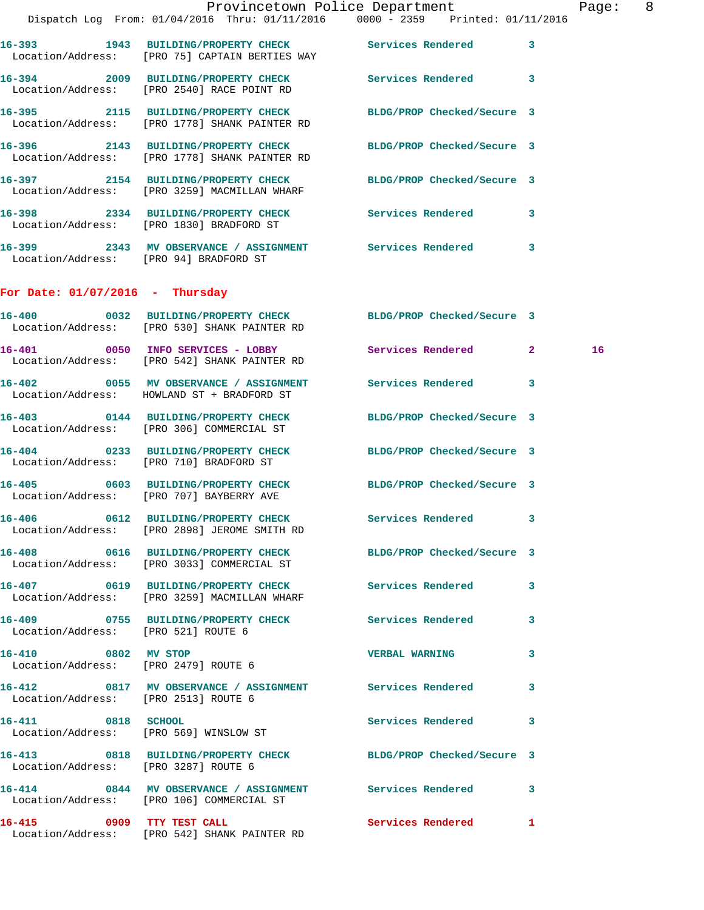|                                        |                                                                                                                 | Provincetown Police Department | $\overline{\phantom{0}}$ 8<br>Page: |  |
|----------------------------------------|-----------------------------------------------------------------------------------------------------------------|--------------------------------|-------------------------------------|--|
|                                        | Dispatch Log From: 01/04/2016 Thru: 01/11/2016 0000 - 2359 Printed: 01/11/2016                                  |                                |                                     |  |
|                                        | 16-393 1943 BUILDING/PROPERTY CHECK Services Rendered<br>Location/Address: [PRO 75] CAPTAIN BERTIES WAY         | 3                              |                                     |  |
|                                        | 16-394 2009 BUILDING/PROPERTY CHECK<br>Location/Address: [PRO 2540] RACE POINT RD                               | <b>Services Rendered</b><br>3  |                                     |  |
|                                        | 16-395 2115 BUILDING/PROPERTY CHECK BLDG/PROP Checked/Secure 3<br>Location/Address: [PRO 1778] SHANK PAINTER RD |                                |                                     |  |
|                                        | 16-396 2143 BUILDING/PROPERTY CHECK BLDG/PROP Checked/Secure 3<br>Location/Address: [PRO 1778] SHANK PAINTER RD |                                |                                     |  |
|                                        | 16-397 2154 BUILDING/PROPERTY CHECK BLDG/PROP Checked/Secure 3<br>Location/Address: [PRO 3259] MACMILLAN WHARF  |                                |                                     |  |
|                                        | 16-398 2334 BUILDING/PROPERTY CHECK Services Rendered<br>Location/Address: [PRO 1830] BRADFORD ST               | 3                              |                                     |  |
| Location/Address: [PRO 94] BRADFORD ST |                                                                                                                 | 3                              |                                     |  |

## **For Date: 01/07/2016 - Thursday**

|                                                             | 16-400 0032 BUILDING/PROPERTY CHECK<br>Location/Address: [PRO 530] SHANK PAINTER RD                          | BLDG/PROP Checked/Secure 3 |    |
|-------------------------------------------------------------|--------------------------------------------------------------------------------------------------------------|----------------------------|----|
|                                                             | 16-401 0050 INFO SERVICES - LOBBY<br>Location/Address: [PRO 542] SHANK PAINTER RD                            | Services Rendered 2        | 16 |
|                                                             | 16-402 0055 MV OBSERVANCE / ASSIGNMENT Services Rendered<br>Location/Address: HOWLAND ST + BRADFORD ST       |                            | 3  |
|                                                             | 16-403 0144 BUILDING/PROPERTY CHECK BLDG/PROP Checked/Secure 3<br>Location/Address: [PRO 306] COMMERCIAL ST  |                            |    |
|                                                             | 16-404 0233 BUILDING/PROPERTY CHECK<br>Location/Address: [PRO 710] BRADFORD ST                               | BLDG/PROP Checked/Secure 3 |    |
|                                                             | 16-405 0603 BUILDING/PROPERTY CHECK<br>Location/Address: [PRO 707] BAYBERRY AVE                              | BLDG/PROP Checked/Secure 3 |    |
|                                                             | 16-406 0612 BUILDING/PROPERTY CHECK Services Rendered 3<br>Location/Address: [PRO 2898] JEROME SMITH RD      |                            |    |
|                                                             | 16-408 0616 BUILDING/PROPERTY CHECK BLDG/PROP Checked/Secure 3<br>Location/Address: [PRO 3033] COMMERCIAL ST |                            |    |
|                                                             | 16-407 0619 BUILDING/PROPERTY CHECK Services Rendered<br>Location/Address: [PRO 3259] MACMILLAN WHARF        |                            | 3  |
| Location/Address: [PRO 521] ROUTE 6                         | 16-409 0755 BUILDING/PROPERTY CHECK Services Rendered                                                        |                            | 3  |
| 16-410 0802 MV STOP<br>Location/Address: [PRO 2479] ROUTE 6 |                                                                                                              | <b>VERBAL WARNING</b>      | 3  |
| Location/Address: [PRO 2513] ROUTE 6                        | 16-412 0817 MV OBSERVANCE / ASSIGNMENT Services Rendered                                                     |                            | 3  |
|                                                             | 16-411 0818 SCHOOL<br>Location/Address: [PRO 569] WINSLOW ST                                                 | <b>Services Rendered</b>   | 3  |
| Location/Address: [PRO 3287] ROUTE 6                        | 16-413 0818 BUILDING/PROPERTY CHECK BLDG/PROP Checked/Secure 3                                               |                            |    |
|                                                             | 16-414 0844 MV OBSERVANCE / ASSIGNMENT Services Rendered 3<br>Location/Address: [PRO 106] COMMERCIAL ST      |                            |    |
|                                                             | 16-415 0909 TTY TEST CALL<br>Location/Address: [PRO 542] SHANK PAINTER RD                                    | <b>Services Rendered</b>   | 1  |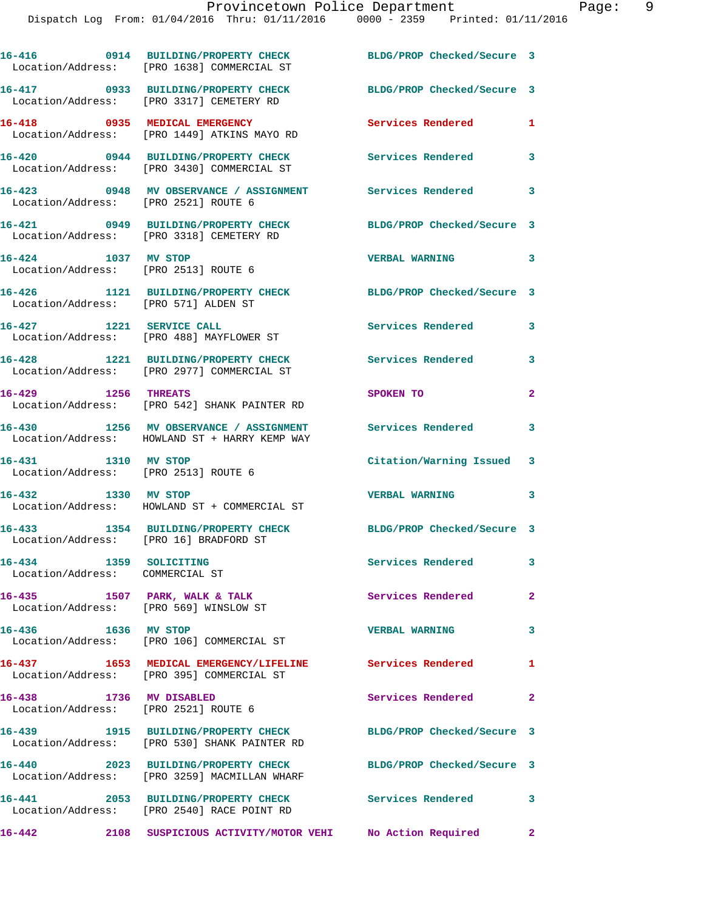Dispatch Log From: 01/04/2016 Thru: 01/11/2016 0000 - 2359 Printed: 01/11/2016

**16-416 0914 BUILDING/PROPERTY CHECK BLDG/PROP Checked/Secure 3**  Location/Address: [PRO 1638] COMMERCIAL ST **16-417 0933 BUILDING/PROPERTY CHECK BLDG/PROP Checked/Secure 3**  Location/Address: [PRO 3317] CEMETERY RD **16-418 0935 MEDICAL EMERGENCY Services Rendered 1**  Location/Address: [PRO 1449] ATKINS MAYO RD **16-420 0944 BUILDING/PROPERTY CHECK Services Rendered 3**  Location/Address: [PRO 3430] COMMERCIAL ST **16-423 0948 MV OBSERVANCE / ASSIGNMENT Services Rendered 3**  Location/Address: [PRO 2521] ROUTE 6 **16-421 0949 BUILDING/PROPERTY CHECK BLDG/PROP Checked/Secure 3**  Location/Address: [PRO 3318] CEMETERY RD **16-424 1037 MV STOP VERBAL WARNING 3**  Location/Address: [PRO 2513] ROUTE 6 **16-426 1121 BUILDING/PROPERTY CHECK BLDG/PROP Checked/Secure 3**  Location/Address: [PRO 571] ALDEN ST **16-427 1221 SERVICE CALL Services Rendered 3**  Location/Address: [PRO 488] MAYFLOWER ST **16-428 1221 BUILDING/PROPERTY CHECK Services Rendered 3**  Location/Address: [PRO 2977] COMMERCIAL ST **16-429 1256 THREATS SPOKEN TO 2**  Location/Address: [PRO 542] SHANK PAINTER RD **16-430 1256 MV OBSERVANCE / ASSIGNMENT Services Rendered 3**  Location/Address: HOWLAND ST + HARRY KEMP WAY **16-431 1310 MV STOP Citation/Warning Issued 3**  Location/Address: **16-432 1330 MV STOP VERBAL WARNING 3**  Location/Address: HOWLAND ST + COMMERCIAL ST **16-433 1354 BUILDING/PROPERTY CHECK BLDG/PROP Checked/Secure 3**  Location/Address: [PRO 16] BRADFORD ST **16-434 1359 SOLICITING Services Rendered 3**  Location/Address: COMMERCIAL ST **16-435 1507 PARK, WALK & TALK Services Rendered 2**  Location/Address: [PRO 569] WINSLOW ST **16-436 1636 MV STOP VERBAL WARNING 3**  Location/Address: [PRO 106] COMMERCIAL ST **16-437 1653 MEDICAL EMERGENCY/LIFELINE Services Rendered 1**  Location/Address: [PRO 395] COMMERCIAL ST **16-438 1736 MV DISABLED Services Rendered 2**  Location/Address: [PRO 2521] ROUTE 6 **16-439 1915 BUILDING/PROPERTY CHECK BLDG/PROP Checked/Secure 3**  Location/Address: [PRO 530] SHANK PAINTER RD **16-440 2023 BUILDING/PROPERTY CHECK BLDG/PROP Checked/Secure 3**  Location/Address: [PRO 3259] MACMILLAN WHARF **16-441 2053 BUILDING/PROPERTY CHECK Services Rendered 3**  Location/Address: [PRO 2540] RACE POINT RD **16-442 2108 SUSPICIOUS ACTIVITY/MOTOR VEHI No Action Required 2**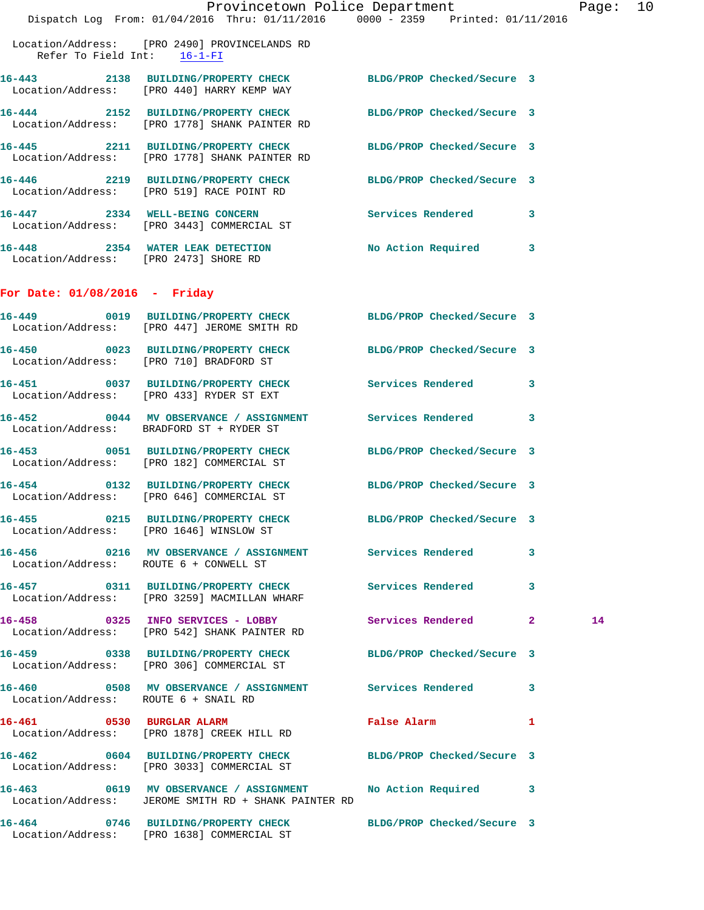|                                      | Dispatch Log From: 01/04/2016 Thru: 01/11/2016 0000 - 2359 Printed: 01/11/2016                                      | Provincetown Police Department Page: 10 |   |    |  |
|--------------------------------------|---------------------------------------------------------------------------------------------------------------------|-----------------------------------------|---|----|--|
| Refer To Field Int: $16-1-FI$        | Location/Address: [PRO 2490] PROVINCELANDS RD                                                                       |                                         |   |    |  |
|                                      | 16-443 2138 BUILDING/PROPERTY CHECK BLDG/PROP Checked/Secure 3<br>Location/Address: [PRO 440] HARRY KEMP WAY        |                                         |   |    |  |
|                                      | 16-444 2152 BUILDING/PROPERTY CHECK BLDG/PROP Checked/Secure 3<br>Location/Address: [PRO 1778] SHANK PAINTER RD     |                                         |   |    |  |
|                                      | 16-445 2211 BUILDING/PROPERTY CHECK BLDG/PROP Checked/Secure 3<br>Location/Address: [PRO 1778] SHANK PAINTER RD     |                                         |   |    |  |
|                                      | 16-446 2219 BUILDING/PROPERTY CHECK BLDG/PROP Checked/Secure 3<br>Location/Address: [PRO 519] RACE POINT RD         |                                         |   |    |  |
|                                      | 16-447 2334 WELL-BEING CONCERN Services Rendered 3<br>Location/Address: [PRO 3443] COMMERCIAL ST                    |                                         |   |    |  |
|                                      | 16-448 2354 WATER LEAK DETECTION No Action Required 3<br>Location/Address: [PRO 2473] SHORE RD                      |                                         |   |    |  |
| For Date: $01/08/2016$ - Friday      |                                                                                                                     |                                         |   |    |  |
|                                      | 16-449 0019 BUILDING/PROPERTY CHECK BLDG/PROP Checked/Secure 3<br>Location/Address: [PRO 447] JEROME SMITH RD       |                                         |   |    |  |
|                                      | 16-450 0023 BUILDING/PROPERTY CHECK BLDG/PROP Checked/Secure 3<br>Location/Address: [PRO 710] BRADFORD ST           |                                         |   |    |  |
|                                      | 16-451 0037 BUILDING/PROPERTY CHECK Services Rendered<br>Location/Address: [PRO 433] RYDER ST EXT                   |                                         | 3 |    |  |
|                                      | 16-452 0044 MV OBSERVANCE / ASSIGNMENT Services Rendered 3<br>Location/Address: BRADFORD ST + RYDER ST              |                                         |   |    |  |
|                                      | 16-453 0051 BUILDING/PROPERTY CHECK BLDG/PROP Checked/Secure 3<br>Location/Address: [PRO 182] COMMERCIAL ST         |                                         |   |    |  |
|                                      | 16-454 0132 BUILDING/PROPERTY CHECK BLDG/PROP Checked/Secure 3<br>Location/Address: [PRO 646] COMMERCIAL ST         |                                         |   |    |  |
|                                      | 16-455 0215 BUILDING/PROPERTY CHECK BLDG/PROP Checked/Secure 3<br>Location/Address: [PRO 1646] WINSLOW ST           |                                         |   |    |  |
|                                      | 16-456 6216 MV OBSERVANCE / ASSIGNMENT Services Rendered<br>Location/Address: ROUTE 6 + CONWELL ST                  |                                         | 3 |    |  |
|                                      | 16-457 0311 BUILDING/PROPERTY CHECK Services Rendered 3<br>Location/Address: [PRO 3259] MACMILLAN WHARF             |                                         |   |    |  |
|                                      | 16-458 		 0325 INFO SERVICES - LOBBY 		 Services Rendered 2<br>Location/Address: [PRO 542] SHANK PAINTER RD         |                                         |   | 14 |  |
|                                      | 16-459 0338 BUILDING/PROPERTY CHECK BLDG/PROP Checked/Secure 3<br>Location/Address: [PRO 306] COMMERCIAL ST         |                                         |   |    |  |
| Location/Address: ROUTE 6 + SNAIL RD |                                                                                                                     |                                         |   |    |  |
|                                      | 16-461 0530 BURGLAR ALARM<br>Location/Address: [PRO 1878] CREEK HILL RD                                             | False Alarm 1                           |   |    |  |
|                                      | 16-462 0604 BUILDING/PROPERTY CHECK BLDG/PROP Checked/Secure 3<br>Location/Address: [PRO 3033] COMMERCIAL ST        |                                         |   |    |  |
|                                      | 16-463 6619 MV OBSERVANCE / ASSIGNMENT No Action Required 3<br>Location/Address: JEROME SMITH RD + SHANK PAINTER RD |                                         |   |    |  |
|                                      | 16-464 0746 BUILDING/PROPERTY CHECK BLDG/PROP Checked/Secure 3                                                      |                                         |   |    |  |

Location/Address: [PRO 1638] COMMERCIAL ST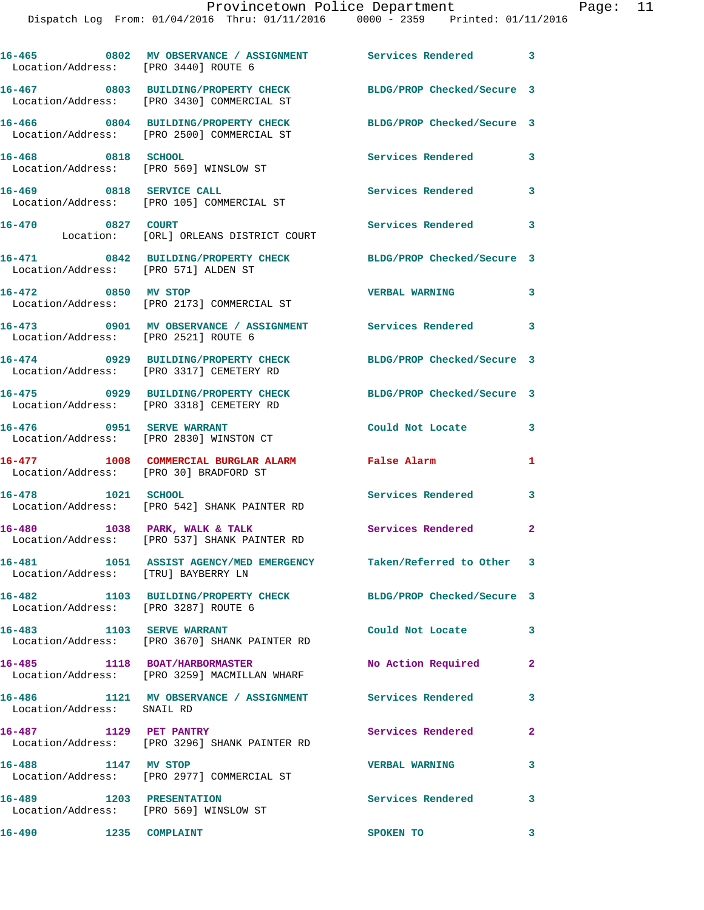Dispatch Log From: 01/04/2016 Thru: 01/11/2016 0000 - 2359 Printed: 01/11/2016

| Location/Address: [PRO 3440] ROUTE 6           | 16-465 0802 MV OBSERVANCE / ASSIGNMENT Services Rendered 3                        |                            |              |
|------------------------------------------------|-----------------------------------------------------------------------------------|----------------------------|--------------|
|                                                | 16-467 0803 BUILDING/PROPERTY CHECK<br>Location/Address: [PRO 3430] COMMERCIAL ST | BLDG/PROP Checked/Secure 3 |              |
|                                                | 16-466 0804 BUILDING/PROPERTY CHECK<br>Location/Address: [PRO 2500] COMMERCIAL ST | BLDG/PROP Checked/Secure 3 |              |
| 16-468 0818 SCHOOL                             | Location/Address: [PRO 569] WINSLOW ST                                            | Services Rendered 3        |              |
| 16-469 0818 SERVICE CALL                       | Location/Address: [PRO 105] COMMERCIAL ST                                         | Services Rendered          | 3            |
| 16-470 0827 COURT                              | Location: [ORL] ORLEANS DISTRICT COURT                                            | Services Rendered          | 3            |
| Location/Address: [PRO 571] ALDEN ST           | 16-471 0842 BUILDING/PROPERTY CHECK                                               | BLDG/PROP Checked/Secure 3 |              |
| 16-472 0850 MV STOP                            | Location/Address: [PRO 2173] COMMERCIAL ST                                        | <b>VERBAL WARNING</b>      | 3            |
| Location/Address: [PRO 2521] ROUTE 6           | 16-473 0901 MV OBSERVANCE / ASSIGNMENT Services Rendered 3                        |                            |              |
|                                                | 16-474 0929 BUILDING/PROPERTY CHECK<br>Location/Address: [PRO 3317] CEMETERY RD   | BLDG/PROP Checked/Secure 3 |              |
|                                                | 16-475 0929 BUILDING/PROPERTY CHECK<br>Location/Address: [PRO 3318] CEMETERY RD   | BLDG/PROP Checked/Secure 3 |              |
| 16-476 0951 SERVE WARRANT                      | Location/Address: [PRO 2830] WINSTON CT                                           | Could Not Locate           | 3            |
| Location/Address: [PRO 30] BRADFORD ST         | 16-477 1008 COMMERCIAL BURGLAR ALARM                                              | False Alarm                | 1            |
| 16-478 1021 SCHOOL                             | Location/Address: [PRO 542] SHANK PAINTER RD                                      | Services Rendered          | 3            |
| 16-480                                         | 1038 PARK, WALK & TALK<br>Location/Address: [PRO 537] SHANK PAINTER RD            | <b>Services Rendered</b> 2 |              |
| Location/Address: [TRU] BAYBERRY LN            | 16-481 1051 ASSIST AGENCY/MED EMERGENCY Taken/Referred to Other 3                 |                            |              |
| 16-482<br>Location/Address: [PRO 3287] ROUTE 6 | 1103 BUILDING/PROPERTY CHECK                                                      | BLDG/PROP Checked/Secure 3 |              |
| 16-483 1103 SERVE WARRANT                      | Location/Address: [PRO 3670] SHANK PAINTER RD                                     | Could Not Locate           | $\mathbf{3}$ |
| 16-485 1118 BOAT/HARBORMASTER                  | Location/Address: [PRO 3259] MACMILLAN WHARF                                      | No Action Required         | $\mathbf{2}$ |
| Location/Address: SNAIL RD                     | 16-486 1121 MV OBSERVANCE / ASSIGNMENT Services Rendered                          |                            | 3            |
| 16-487 1129 PET PANTRY                         | Location/Address: [PRO 3296] SHANK PAINTER RD                                     | Services Rendered          | $\mathbf{2}$ |
| 16-488 1147 MV STOP                            | Location/Address: [PRO 2977] COMMERCIAL ST                                        | <b>VERBAL WARNING</b>      | 3            |
| 1203 PRESENTATION<br>16-489                    | Location/Address: [PRO 569] WINSLOW ST                                            | Services Rendered 3        |              |
|                                                |                                                                                   |                            |              |

**16-490 1235 COMPLAINT 16-490 1235 COMPLAINT**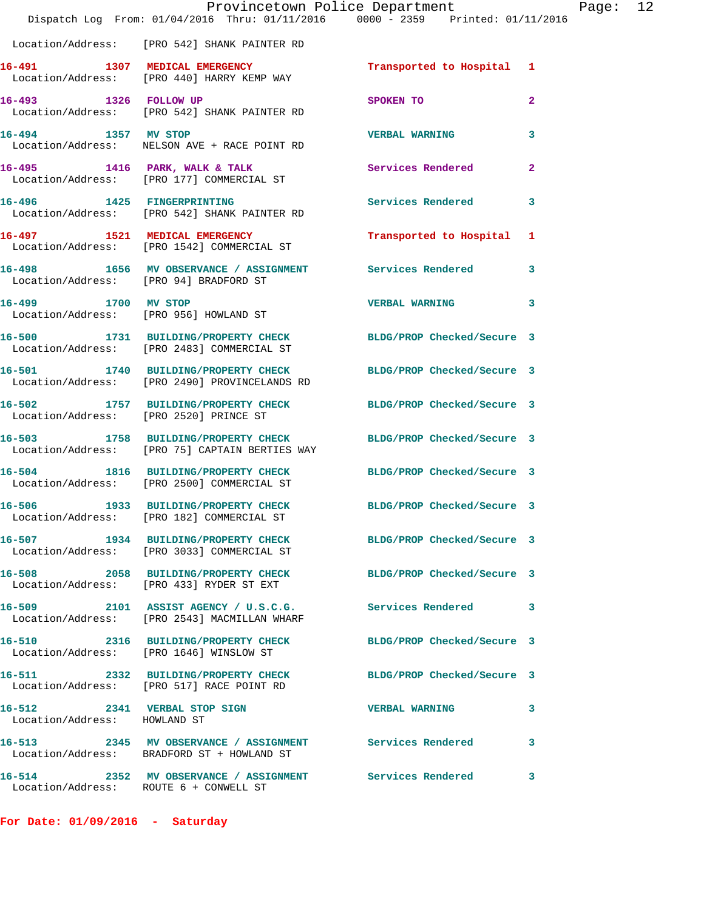|                                                              | Provincetown Police Department<br>Dispatch Log From: 01/04/2016 Thru: 01/11/2016 0000 - 2359 Printed: 01/11/2016 |                            |                |
|--------------------------------------------------------------|------------------------------------------------------------------------------------------------------------------|----------------------------|----------------|
|                                                              | Location/Address: [PRO 542] SHANK PAINTER RD                                                                     |                            |                |
|                                                              | 16-491 1307 MEDICAL EMERGENCY<br>Location/Address: [PRO 440] HARRY KEMP WAY                                      | Transported to Hospital 1  |                |
| 16-493 1326 FOLLOW UP                                        | Location/Address: [PRO 542] SHANK PAINTER RD                                                                     | <b>SPOKEN TO</b>           | $\overline{a}$ |
| 16-494 1357 MV STOP                                          | Location/Address: NELSON AVE + RACE POINT RD                                                                     | <b>VERBAL WARNING</b>      | 3              |
|                                                              | 16-495 1416 PARK, WALK & TALK<br>Location/Address: [PRO 177] COMMERCIAL ST                                       | <b>Services Rendered</b>   | $\mathbf{2}$   |
|                                                              | 16-496 1425 FINGERPRINTING<br>Location/Address: [PRO 542] SHANK PAINTER RD                                       | <b>Services Rendered</b>   | 3              |
|                                                              | 16-497 1521 MEDICAL EMERGENCY<br>Location/Address: [PRO 1542] COMMERCIAL ST                                      | Transported to Hospital    | 1              |
| Location/Address: [PRO 94] BRADFORD ST                       | 16-498 1656 MV OBSERVANCE / ASSIGNMENT Services Rendered                                                         |                            | 3              |
| 16-499 1700 MV STOP                                          | Location/Address: [PRO 956] HOWLAND ST                                                                           | <b>VERBAL WARNING</b>      | 3              |
|                                                              | 16-500 1731 BUILDING/PROPERTY CHECK<br>Location/Address: [PRO 2483] COMMERCIAL ST                                | BLDG/PROP Checked/Secure 3 |                |
|                                                              | 16-501 1740 BUILDING/PROPERTY CHECK<br>Location/Address: [PRO 2490] PROVINCELANDS RD                             | BLDG/PROP Checked/Secure 3 |                |
| Location/Address: [PRO 2520] PRINCE ST                       | 16-502 1757 BUILDING/PROPERTY CHECK                                                                              | BLDG/PROP Checked/Secure 3 |                |
|                                                              | 16-503 1758 BUILDING/PROPERTY CHECK<br>Location/Address: [PRO 75] CAPTAIN BERTIES WAY                            | BLDG/PROP Checked/Secure 3 |                |
| 16-504                                                       | 1816 BUILDING/PROPERTY CHECK BLDG/PROP Checked/Secure 3<br>Location/Address: [PRO 2500] COMMERCIAL ST            |                            |                |
| 16-506                                                       | 1933 BUILDING/PROPERTY CHECK<br>Location/Address: [PRO 182] COMMERCIAL ST                                        | BLDG/PROP Checked/Secure 3 |                |
|                                                              | 16-507 1934 BUILDING/PROPERTY CHECK BLDG/PROP Checked/Secure 3<br>Location/Address: [PRO 3033] COMMERCIAL ST     |                            |                |
|                                                              | 16-508 2058 BUILDING/PROPERTY CHECK<br>Location/Address: [PRO 433] RYDER ST EXT                                  | BLDG/PROP Checked/Secure 3 |                |
|                                                              | 16-509 2101 ASSIST AGENCY / U.S.C.G.<br>Location/Address: [PRO 2543] MACMILLAN WHARF                             | <b>Services Rendered</b>   | 3              |
|                                                              | 16-510 2316 BUILDING/PROPERTY CHECK<br>Location/Address: [PRO 1646] WINSLOW ST                                   | BLDG/PROP Checked/Secure 3 |                |
|                                                              | 16-511 2332 BUILDING/PROPERTY CHECK<br>Location/Address: [PRO 517] RACE POINT RD                                 | BLDG/PROP Checked/Secure 3 |                |
| 16-512 2341 VERBAL STOP SIGN<br>Location/Address: HOWLAND ST |                                                                                                                  | <b>VERBAL WARNING</b>      | 3              |
|                                                              | 16-513 2345 MV OBSERVANCE / ASSIGNMENT Services Rendered<br>Location/Address: BRADFORD ST + HOWLAND ST           |                            | 3              |
|                                                              | 16-514 2352 MV OBSERVANCE / ASSIGNMENT Services Rendered<br>Location/Address: ROUTE 6 + CONWELL ST               |                            | 3.             |

**For Date: 01/09/2016 - Saturday**

Page:  $12$ <br>016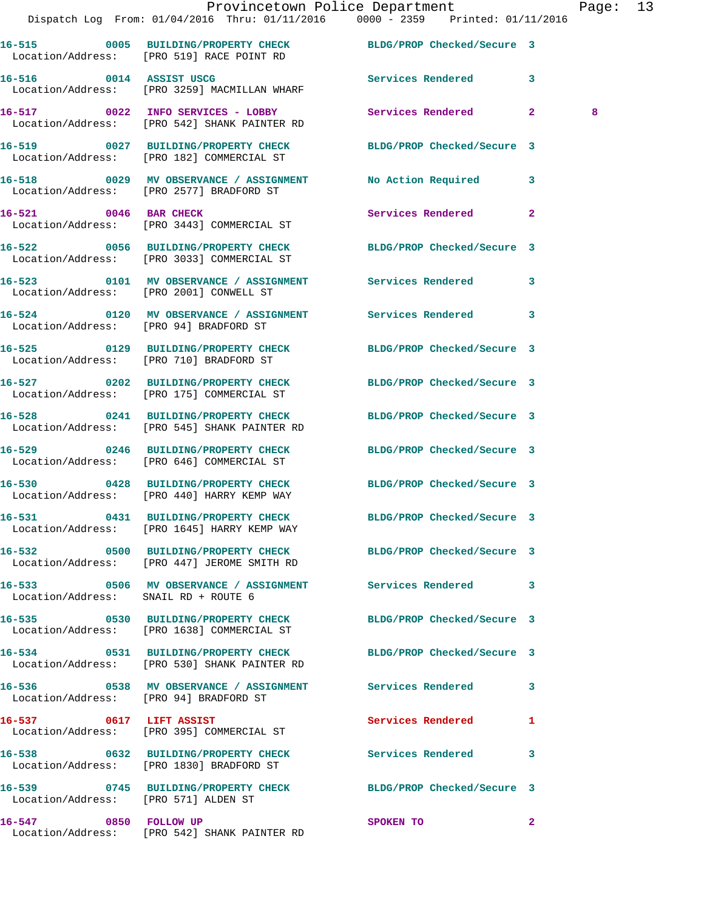| Dispatch Log From: 01/04/2016 Thru: 01/11/2016 0000 - 2359 Printed: 01/11/2016                                 | Provincetown Police Department Page: 13 |   |  |
|----------------------------------------------------------------------------------------------------------------|-----------------------------------------|---|--|
| 16-515 0005 BUILDING/PROPERTY CHECK BLDG/PROP Checked/Secure 3<br>Location/Address: [PRO 519] RACE POINT RD    |                                         |   |  |
| 16-516 0014 ASSIST USCG<br>Location/Address: [PRO 3259] MACMILLAN WHARF                                        | Services Rendered 3                     |   |  |
| 16-517 0022 INFO SERVICES - LOBBY Services Rendered 2<br>Location/Address: [PRO 542] SHANK PAINTER RD          |                                         | 8 |  |
| 16-519 0027 BUILDING/PROPERTY CHECK BLDG/PROP Checked/Secure 3<br>Location/Address: [PRO 182] COMMERCIAL ST    |                                         |   |  |
| 16-518 0029 MV OBSERVANCE / ASSIGNMENT No Action Required 3<br>Location/Address: [PRO 2577] BRADFORD ST        |                                         |   |  |
| 16-521 0046 BAR CHECK<br>Location/Address: [PRO 3443] COMMERCIAL ST                                            | Services Rendered 2                     |   |  |
| 16-522 0056 BUILDING/PROPERTY CHECK BLDG/PROP Checked/Secure 3<br>Location/Address: [PRO 3033] COMMERCIAL ST   |                                         |   |  |
| 16-523 0101 MV OBSERVANCE / ASSIGNMENT Services Rendered 3<br>Location/Address: [PRO 2001] CONWELL ST          |                                         |   |  |
| 16-524 0120 MV OBSERVANCE / ASSIGNMENT Services Rendered 3<br>Location/Address: [PRO 94] BRADFORD ST           |                                         |   |  |
| 16-525 0129 BUILDING/PROPERTY CHECK BLDG/PROP Checked/Secure 3<br>Location/Address: [PRO 710] BRADFORD ST      |                                         |   |  |
| 16-527 0202 BUILDING/PROPERTY CHECK BLDG/PROP Checked/Secure 3<br>Location/Address: [PRO 175] COMMERCIAL ST    |                                         |   |  |
| 16-528 0241 BUILDING/PROPERTY CHECK BLDG/PROP Checked/Secure 3<br>Location/Address: [PRO 545] SHANK PAINTER RD |                                         |   |  |
| 16-529 0246 BUILDING/PROPERTY CHECK BLDG/PROP Checked/Secure 3<br>Location/Address: [PRO 646] COMMERCIAL ST    |                                         |   |  |
|                                                                                                                |                                         |   |  |

**16-530 0428 BUILDING/PROPERTY CHECK BLDG/PROP Checked/Secure 3**  Location/Address: [PRO 440] HARRY KEMP WAY

**16-531 0431 BUILDING/PROPERTY CHECK BLDG/PROP Checked/Secure 3**  Location/Address: [PRO 1645] HARRY KEMP WAY

Location/Address: [PRO 447] JEROME SMITH RD

**16-533 0506 MV OBSERVANCE / ASSIGNMENT Services Rendered 3**  Location/Address: SNAIL RD + ROUTE 6

Location/Address: [PRO 1638] COMMERCIAL ST

Location/Address: [PRO 530] SHANK PAINTER RD

Location/Address: [PRO 94] BRADFORD ST

**16-537 0617 LIFT ASSIST Services Rendered 1**  Location/Address: [PRO 395] COMMERCIAL ST

**16-538 0632 BUILDING/PROPERTY CHECK Services Rendered 3**  Location/Address: [PRO 1830] BRADFORD ST

**16-539 0745 BUILDING/PROPERTY CHECK BLDG/PROP Checked/Secure 3**  Location/Address: [PRO 571] ALDEN ST

**16-547** 0850 FOLLOW UP SPOKEN TO 2 Location/Address: [PRO 542] SHANK PAINTER RD

**16-532 0500 BUILDING/PROPERTY CHECK BLDG/PROP Checked/Secure 3** 

**16-535 0530 BUILDING/PROPERTY CHECK BLDG/PROP Checked/Secure 3** 

**16-534 0531 BUILDING/PROPERTY CHECK BLDG/PROP Checked/Secure 3** 

**16-536 0538 MV OBSERVANCE / ASSIGNMENT Services Rendered 3**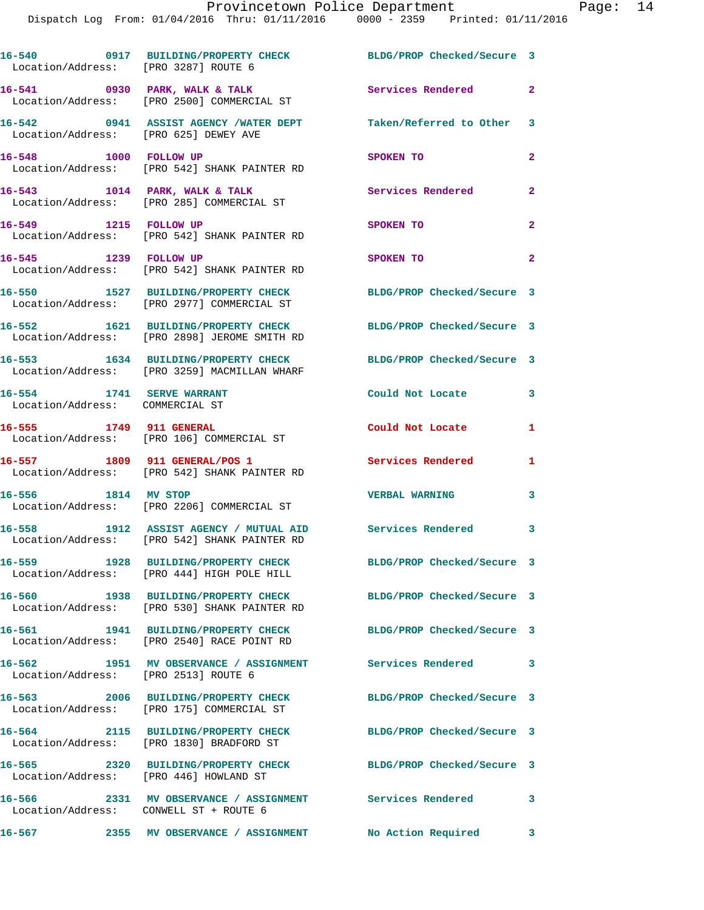| Location/Address: [PRO 3287] ROUTE 6                         | 16-540 0917 BUILDING/PROPERTY CHECK BLDG/PROP Checked/Secure 3                                                 |                            |                |
|--------------------------------------------------------------|----------------------------------------------------------------------------------------------------------------|----------------------------|----------------|
|                                                              | 16-541 0930 PARK, WALK & TALK<br>Location/Address: [PRO 2500] COMMERCIAL ST                                    | <b>Services Rendered</b> 2 |                |
| Location/Address: [PRO 625] DEWEY AVE                        | 16-542 0941 ASSIST AGENCY /WATER DEPT Taken/Referred to Other 3                                                |                            |                |
|                                                              | 16-548 1000 FOLLOW UP<br>Location/Address: [PRO 542] SHANK PAINTER RD                                          | SPOKEN TO                  | $\mathbf{2}$   |
|                                                              | 16-543 1014 PARK, WALK & TALK<br>Location/Address: [PRO 285] COMMERCIAL ST                                     | Services Rendered          | $\mathbf{2}$   |
| 16-549 1215 FOLLOW UP                                        | Location/Address: [PRO 542] SHANK PAINTER RD                                                                   | SPOKEN TO                  | $\mathbf{2}$   |
| 16-545 1239 FOLLOW UP                                        | Location/Address: [PRO 542] SHANK PAINTER RD                                                                   | SPOKEN TO                  | $\overline{a}$ |
|                                                              | 16-550 1527 BUILDING/PROPERTY CHECK<br>Location/Address: [PRO 2977] COMMERCIAL ST                              | BLDG/PROP Checked/Secure 3 |                |
|                                                              | 16-552 1621 BUILDING/PROPERTY CHECK<br>Location/Address: [PRO 2898] JEROME SMITH RD                            | BLDG/PROP Checked/Secure 3 |                |
|                                                              | 16-553 1634 BUILDING/PROPERTY CHECK<br>Location/Address: [PRO 3259] MACMILLAN WHARF                            | BLDG/PROP Checked/Secure 3 |                |
| 16-554 1741 SERVE WARRANT<br>Location/Address: COMMERCIAL ST |                                                                                                                | Could Not Locate           | 3              |
| 16-555 1749 911 GENERAL                                      | Location/Address: [PRO 106] COMMERCIAL ST                                                                      | Could Not Locate           | 1              |
|                                                              | 16-557 1809 911 GENERAL/POS 1<br>Location/Address: [PRO 542] SHANK PAINTER RD                                  | Services Rendered          | 1              |
| 16-556 1814 MV STOP                                          | Location/Address: [PRO 2206] COMMERCIAL ST                                                                     | <b>VERBAL WARNING</b>      | 3              |
|                                                              | 16-558 1912 ASSIST AGENCY / MUTUAL AID Services Rendered 3<br>Location/Address: [PRO 542] SHANK PAINTER RD     |                            |                |
|                                                              | 16-559 1928 BUILDING/PROPERTY CHECK<br>Location/Address: [PRO 444] HIGH POLE HILL                              | BLDG/PROP Checked/Secure 3 |                |
|                                                              | 16-560 1938 BUILDING/PROPERTY CHECK BLDG/PROP Checked/Secure 3<br>Location/Address: [PRO 530] SHANK PAINTER RD |                            |                |
|                                                              | 16-561 1941 BUILDING/PROPERTY CHECK<br>Location/Address: [PRO 2540] RACE POINT RD                              | BLDG/PROP Checked/Secure 3 |                |
| Location/Address: [PRO 2513] ROUTE 6                         | 16-562 1951 MV OBSERVANCE / ASSIGNMENT Services Rendered                                                       |                            | 3              |
|                                                              | 16-563 2006 BUILDING/PROPERTY CHECK<br>Location/Address: [PRO 175] COMMERCIAL ST                               | BLDG/PROP Checked/Secure 3 |                |
|                                                              | 16-564 2115 BUILDING/PROPERTY CHECK<br>Location/Address: [PRO 1830] BRADFORD ST                                | BLDG/PROP Checked/Secure 3 |                |
| Location/Address: [PRO 446] HOWLAND ST                       | 16-565 2320 BUILDING/PROPERTY CHECK                                                                            | BLDG/PROP Checked/Secure 3 |                |
| Location/Address: CONWELL ST + ROUTE 6                       | 16-566 2331 MV OBSERVANCE / ASSIGNMENT Services Rendered                                                       |                            | 3              |
| 16–567                                                       | 2355 MV OBSERVANCE / ASSIGNMENT No Action Required 3                                                           |                            |                |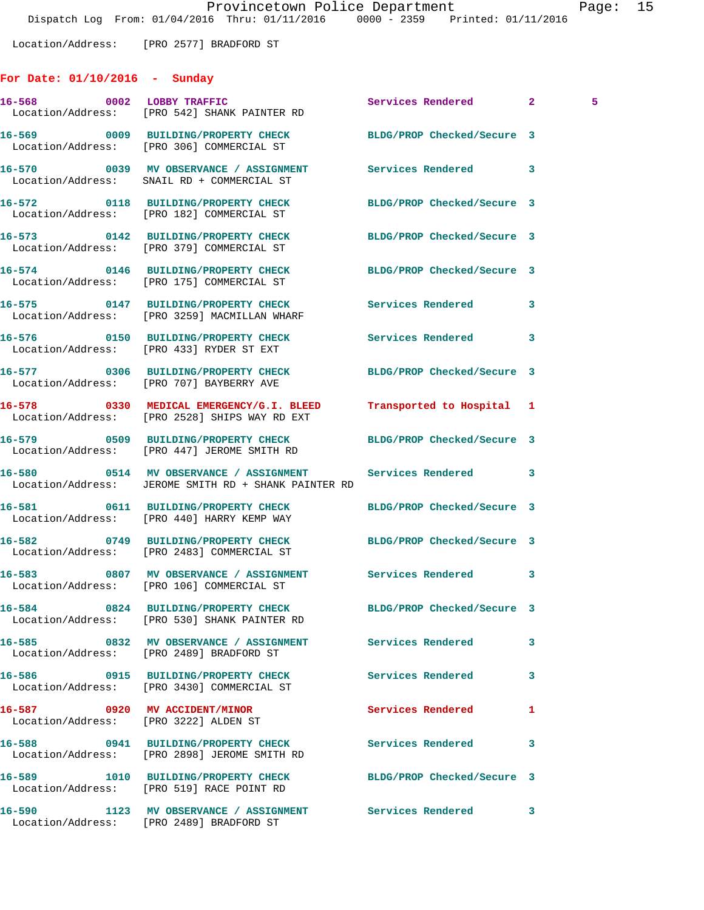Location/Address: [PRO 2577] BRADFORD ST

## **For Date: 01/10/2016 - Sunday**

| 16-568 0002 LOBBY TRAFFIC<br>Location/Address: [PRO 542] SHANK PAINTER RD                                        | Services Rendered 2        |   | 5. |
|------------------------------------------------------------------------------------------------------------------|----------------------------|---|----|
| 16-569 0009 BUILDING/PROPERTY CHECK<br>Location/Address: [PRO 306] COMMERCIAL ST                                 | BLDG/PROP Checked/Secure 3 |   |    |
| 16-570 0039 MV OBSERVANCE / ASSIGNMENT Services Rendered<br>Location/Address: SNAIL RD + COMMERCIAL ST           |                            | 3 |    |
| 16-572 0118 BUILDING/PROPERTY CHECK<br>Location/Address: [PRO 182] COMMERCIAL ST                                 | BLDG/PROP Checked/Secure 3 |   |    |
| 16-573 0142 BUILDING/PROPERTY CHECK BLDG/PROP Checked/Secure 3<br>Location/Address: [PRO 379] COMMERCIAL ST      |                            |   |    |
| 16-574 0146 BUILDING/PROPERTY CHECK BLDG/PROP Checked/Secure 3<br>Location/Address: [PRO 175] COMMERCIAL ST      |                            |   |    |
| 16-575 0147 BUILDING/PROPERTY CHECK Services Rendered<br>Location/Address: [PRO 3259] MACMILLAN WHARF            |                            | 3 |    |
| 16-576 0150 BUILDING/PROPERTY CHECK Services Rendered<br>Location/Address: [PRO 433] RYDER ST EXT                |                            | 3 |    |
| 16-577 0306 BUILDING/PROPERTY CHECK<br>Location/Address: [PRO 707] BAYBERRY AVE                                  | BLDG/PROP Checked/Secure 3 |   |    |
| 16-578 0330 MEDICAL EMERGENCY/G.I. BLEED<br>Location/Address: [PRO 2528] SHIPS WAY RD EXT                        | Transported to Hospital 1  |   |    |
| 16-579 0509 BUILDING/PROPERTY CHECK<br>Location/Address: [PRO 447] JEROME SMITH RD                               | BLDG/PROP Checked/Secure 3 |   |    |
| 16-580 0514 MV OBSERVANCE / ASSIGNMENT Services Rendered<br>Location/Address: JEROME SMITH RD + SHANK PAINTER RD |                            | 3 |    |
| 16-581 0611 BUILDING/PROPERTY CHECK<br>Location/Address: [PRO 440] HARRY KEMP WAY                                | BLDG/PROP Checked/Secure 3 |   |    |
| 16-582 0749 BUILDING/PROPERTY CHECK BLDG/PROP Checked/Secure 3<br>Location/Address: [PRO 2483] COMMERCIAL ST     |                            |   |    |
| 16-583 0807 MV OBSERVANCE / ASSIGNMENT Services Rendered 3<br>Location/Address: [PRO 106] COMMERCIAL ST          |                            |   |    |
| Location/Address: [PRO 530] SHANK PAINTER RD                                                                     |                            |   |    |
| 16-585 6832 MV OBSERVANCE / ASSIGNMENT Services Rendered<br>Location/Address: [PRO 2489] BRADFORD ST             |                            | 3 |    |
| 16-586 		 0915 BUILDING/PROPERTY CHECK Services Rendered<br>Location/Address: [PRO 3430] COMMERCIAL ST           |                            | 3 |    |
| 16-587 0920 MV ACCIDENT/MINOR<br>Location/Address: [PRO 3222] ALDEN ST                                           | Services Rendered          | 1 |    |
| 16-588 		 0941 BUILDING/PROPERTY CHECK Services Rendered<br>Location/Address: [PRO 2898] JEROME SMITH RD         |                            | 3 |    |
| 16-589 1010 BUILDING/PROPERTY CHECK<br>Location/Address: [PRO 519] RACE POINT RD                                 | BLDG/PROP Checked/Secure 3 |   |    |
| 16-590 1123 MV OBSERVANCE / ASSIGNMENT Services Rendered<br>Location/Address: [PRO 2489] BRADFORD ST             |                            | 3 |    |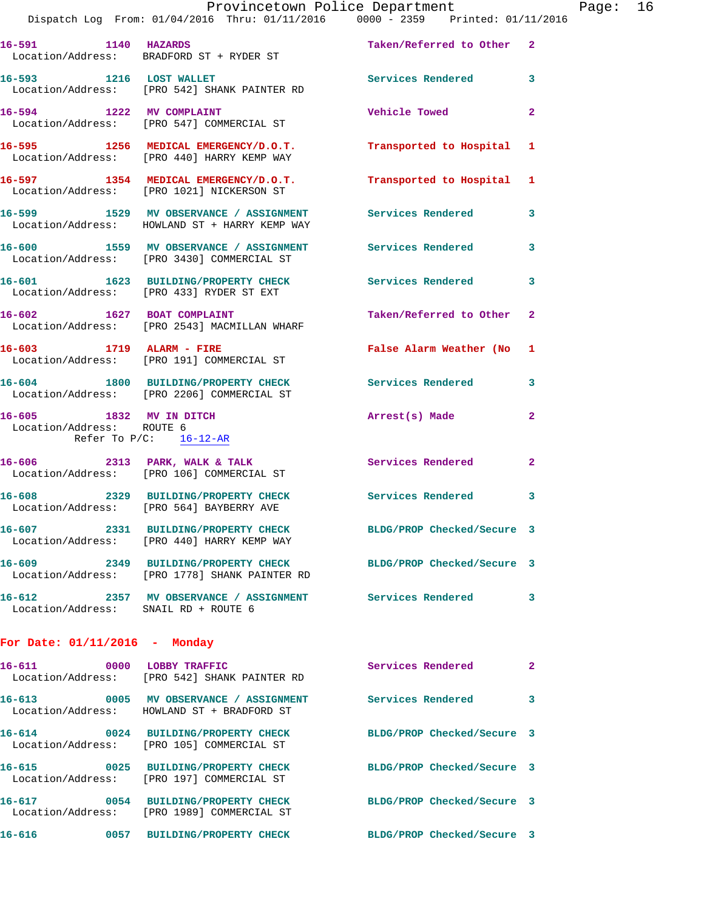|                                      | Dispatch Log From: 01/04/2016 Thru: 01/11/2016 0000 - 2359 Printed: 01/11/2016                                  |                            |              |
|--------------------------------------|-----------------------------------------------------------------------------------------------------------------|----------------------------|--------------|
| 16-591 1140 HAZARDS                  | Location/Address: BRADFORD ST + RYDER ST                                                                        | Taken/Referred to Other 2  |              |
|                                      | 16-593 1216 LOST WALLET<br>Location/Address: [PRO 542] SHANK PAINTER RD                                         | Services Rendered          | 3            |
|                                      | 16-594 1222 MV COMPLAINT<br>Location/Address: [PRO 547] COMMERCIAL ST                                           | <b>Vehicle Towed</b>       | 2            |
|                                      | 16-595 1256 MEDICAL EMERGENCY/D.O.T.<br>Location/Address: [PRO 440] HARRY KEMP WAY                              | Transported to Hospital    | 1            |
|                                      | 16-597 1354 MEDICAL EMERGENCY/D.O.T.<br>Location/Address: [PRO 1021] NICKERSON ST                               | Transported to Hospital    | 1            |
|                                      | 16-599 1529 MV OBSERVANCE / ASSIGNMENT<br>Location/Address: HOWLAND ST + HARRY KEMP WAY                         | <b>Services Rendered</b>   | 3            |
|                                      | 16-600 1559 MV OBSERVANCE / ASSIGNMENT Services Rendered<br>Location/Address: [PRO 3430] COMMERCIAL ST          |                            | 3            |
|                                      | 16-601 1623 BUILDING/PROPERTY CHECK Services Rendered<br>Location/Address: [PRO 433] RYDER ST EXT               |                            | 3            |
| 16-602 1627 BOAT COMPLAINT           | Location/Address: [PRO 2543] MACMILLAN WHARF                                                                    | Taken/Referred to Other    | $\mathbf{2}$ |
|                                      | 16-603 1719 ALARM - FIRE<br>Location/Address: [PRO 191] COMMERCIAL ST                                           | False Alarm Weather (No    | 1            |
|                                      | 16-604 1800 BUILDING/PROPERTY CHECK Services Rendered<br>Location/Address: [PRO 2206] COMMERCIAL ST             |                            | 3            |
| Location/Address: ROUTE 6            | 16-605 1832 MV IN DITCH<br>Refer To P/C: 16-12-AR                                                               | Arrest(s) Made             | 2            |
|                                      | 16-606 2313 PARK, WALK & TALK<br>Location/Address: [PRO 106] COMMERCIAL ST                                      | <b>Services Rendered</b>   | $\mathbf{2}$ |
|                                      | 16-608 2329 BUILDING/PROPERTY CHECK<br>Location/Address: [PRO 564] BAYBERRY AVE                                 | Services Rendered          | 3            |
|                                      | 16-607 2331 BUILDING/PROPERTY CHECK<br>Location/Address: [PRO 440] HARRY KEMP WAY                               | BLDG/PROP Checked/Secure 3 |              |
|                                      | 16-609 2349 BUILDING/PROPERTY CHECK BLDG/PROP Checked/Secure 3<br>Location/Address: [PRO 1778] SHANK PAINTER RD |                            |              |
| Location/Address: SNAIL RD + ROUTE 6 | 16-612 2357 MV OBSERVANCE / ASSIGNMENT Services Rendered                                                        |                            | 3            |
| For Date: $01/11/2016$ - Monday      |                                                                                                                 |                            |              |
| 16-611                               | 0000 LOBBY TRAFFIC<br>Location/Address: [PRO 542] SHANK PAINTER RD                                              | Services Rendered          | $\mathbf{2}$ |
|                                      | 16-613 0005 MV OBSERVANCE / ASSIGNMENT Services Rendered<br>Location/Address: HOWLAND ST + BRADFORD ST          |                            | 3            |
|                                      | 16-614 0024 BUILDING/PROPERTY CHECK<br>Location/Address: [PRO 105] COMMERCIAL ST                                | BLDG/PROP Checked/Secure 3 |              |
|                                      | 16-615 0025 BUILDING/PROPERTY CHECK<br>Location/Address: [PRO 197] COMMERCIAL ST                                | BLDG/PROP Checked/Secure 3 |              |
|                                      | 16-617 0054 BUILDING/PROPERTY CHECK<br>Location/Address: [PRO 1989] COMMERCIAL ST                               | BLDG/PROP Checked/Secure 3 |              |
| 16-616                               | 0057 BUILDING/PROPERTY CHECK                                                                                    | BLDG/PROP Checked/Secure 3 |              |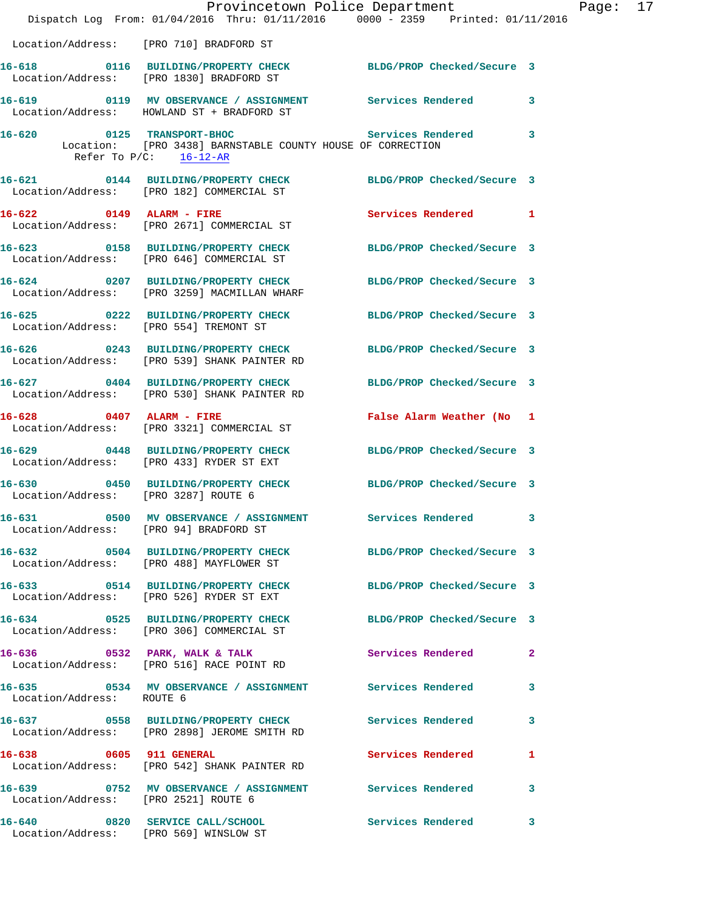|                                                                           | Provincetown Police Department<br>Dispatch Log From: 01/04/2016 Thru: 01/11/2016 0000 - 2359 Printed: 01/11/2016        |                            |              |
|---------------------------------------------------------------------------|-------------------------------------------------------------------------------------------------------------------------|----------------------------|--------------|
| Location/Address: [PRO 710] BRADFORD ST                                   |                                                                                                                         |                            |              |
|                                                                           | 16-618 0116 BUILDING/PROPERTY CHECK BLDG/PROP Checked/Secure 3                                                          |                            |              |
|                                                                           | Location/Address: [PRO 1830] BRADFORD ST                                                                                |                            |              |
|                                                                           | 16-619 		 0119 MV OBSERVANCE / ASSIGNMENT Services Rendered<br>Location/Address: HOWLAND ST + BRADFORD ST               |                            | 3            |
|                                                                           | 16-620 0125 TRANSPORT-BHOC<br>Location: [PRO 3438] BARNSTABLE COUNTY HOUSE OF CORRECTION<br>Refer To $P/C$ : $16-12-AR$ | Services Rendered          | 3            |
|                                                                           | 16-621 0144 BUILDING/PROPERTY CHECK<br>Location/Address: [PRO 182] COMMERCIAL ST                                        | BLDG/PROP Checked/Secure 3 |              |
| $16-622$ 0149 ALARM - FIRE                                                | Location/Address: [PRO 2671] COMMERCIAL ST                                                                              | Services Rendered          | 1            |
|                                                                           | 16-623 0158 BUILDING/PROPERTY CHECK<br>Location/Address: [PRO 646] COMMERCIAL ST                                        | BLDG/PROP Checked/Secure 3 |              |
|                                                                           | 16-624 0207 BUILDING/PROPERTY CHECK BLDG/PROP Checked/Secure 3<br>Location/Address: [PRO 3259] MACMILLAN WHARF          |                            |              |
| Location/Address: [PRO 554] TREMONT ST                                    | 16-625 0222 BUILDING/PROPERTY CHECK                                                                                     | BLDG/PROP Checked/Secure 3 |              |
|                                                                           | 16-626 0243 BUILDING/PROPERTY CHECK BLDG/PROP Checked/Secure 3<br>Location/Address: [PRO 539] SHANK PAINTER RD          |                            |              |
|                                                                           | 16-627 0404 BUILDING/PROPERTY CHECK BLDG/PROP Checked/Secure 3<br>Location/Address: [PRO 530] SHANK PAINTER RD          |                            |              |
| $16-628$ 0407 ALARM - FIRE                                                | Location/Address: [PRO 3321] COMMERCIAL ST                                                                              | False Alarm Weather (No    | 1            |
|                                                                           | 16-629 0448 BUILDING/PROPERTY CHECK BLDG/PROP Checked/Secure 3<br>Location/Address: [PRO 433] RYDER ST EXT              |                            |              |
| Location/Address: [PRO 3287] ROUTE 6                                      | 16-630 0450 BUILDING/PROPERTY CHECK                                                                                     | BLDG/PROP Checked/Secure 3 |              |
| Location/Address: [PRO 94] BRADFORD ST                                    | 16-631 0500 MV OBSERVANCE / ASSIGNMENT                                                                                  | Services Rendered 3        |              |
|                                                                           | 16-632 0504 BUILDING/PROPERTY CHECK BLDG/PROP Checked/Secure 3<br>Location/Address: [PRO 488] MAYFLOWER ST              |                            |              |
|                                                                           | 16-633 0514 BUILDING/PROPERTY CHECK<br>Location/Address: [PRO 526] RYDER ST EXT                                         | BLDG/PROP Checked/Secure 3 |              |
|                                                                           | 16-634 0525 BUILDING/PROPERTY CHECK<br>Location/Address: [PRO 306] COMMERCIAL ST                                        | BLDG/PROP Checked/Secure 3 |              |
|                                                                           | 16-636 0532 PARK, WALK & TALK<br>Location/Address: [PRO 516] RACE POINT RD                                              | Services Rendered          | $\mathbf{2}$ |
| Location/Address: ROUTE 6                                                 | 16-635 0534 MV OBSERVANCE / ASSIGNMENT Services Rendered                                                                |                            | 3            |
|                                                                           | 16-637  0558 BUILDING/PROPERTY CHECK Services Rendered<br>Location/Address: [PRO 2898] JEROME SMITH RD                  |                            | 3            |
| 16-638 0605 911 GENERAL                                                   | Location/Address: [PRO 542] SHANK PAINTER RD                                                                            | Services Rendered          | 1            |
| Location/Address: [PRO 2521] ROUTE 6                                      | 16-639 6752 MV OBSERVANCE / ASSIGNMENT Services Rendered                                                                |                            | 3            |
| 16-640 0820 SERVICE CALL/SCHOOL<br>Location/Address: [PRO 569] WINSLOW ST |                                                                                                                         | <b>Services Rendered</b>   | 3            |

Page:  $17$